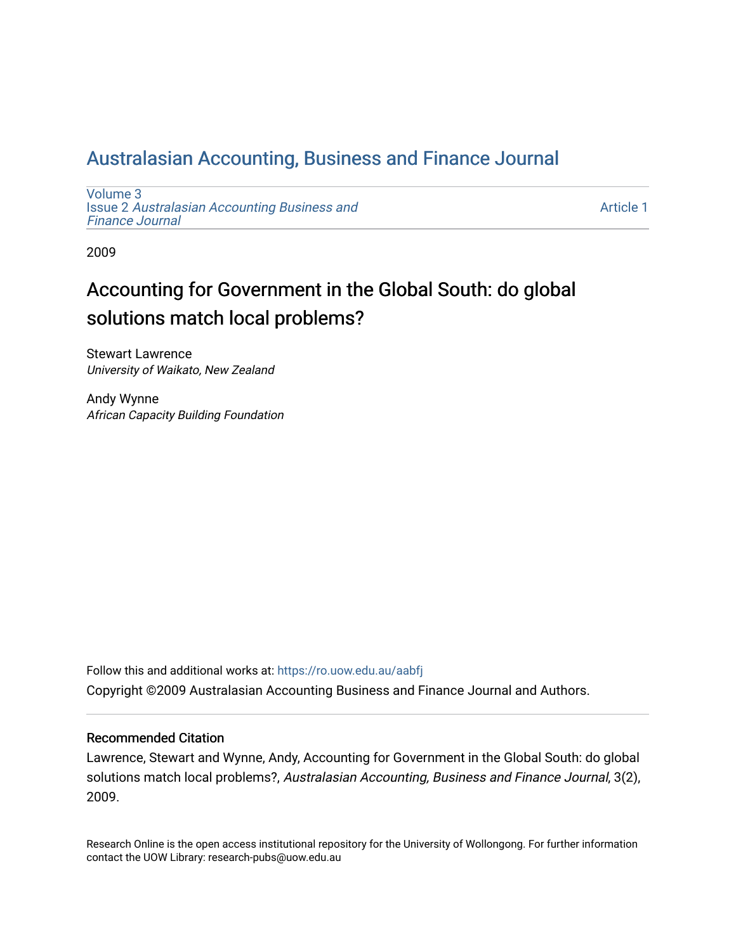## [Australasian Accounting, Business and Finance Journal](https://ro.uow.edu.au/aabfj)

[Volume 3](https://ro.uow.edu.au/aabfj/vol3) Issue 2 [Australasian Accounting Business and](https://ro.uow.edu.au/aabfj/vol3/iss2) [Finance Journal](https://ro.uow.edu.au/aabfj/vol3/iss2) 

[Article 1](https://ro.uow.edu.au/aabfj/vol3/iss2/1) 

2009

# Accounting for Government in the Global South: do global solutions match local problems?

Stewart Lawrence University of Waikato, New Zealand

Andy Wynne African Capacity Building Foundation

Follow this and additional works at: [https://ro.uow.edu.au/aabfj](https://ro.uow.edu.au/aabfj?utm_source=ro.uow.edu.au%2Faabfj%2Fvol3%2Fiss2%2F1&utm_medium=PDF&utm_campaign=PDFCoverPages) Copyright ©2009 Australasian Accounting Business and Finance Journal and Authors.

#### Recommended Citation

Lawrence, Stewart and Wynne, Andy, Accounting for Government in the Global South: do global solutions match local problems?, Australasian Accounting, Business and Finance Journal, 3(2), 2009.

Research Online is the open access institutional repository for the University of Wollongong. For further information contact the UOW Library: research-pubs@uow.edu.au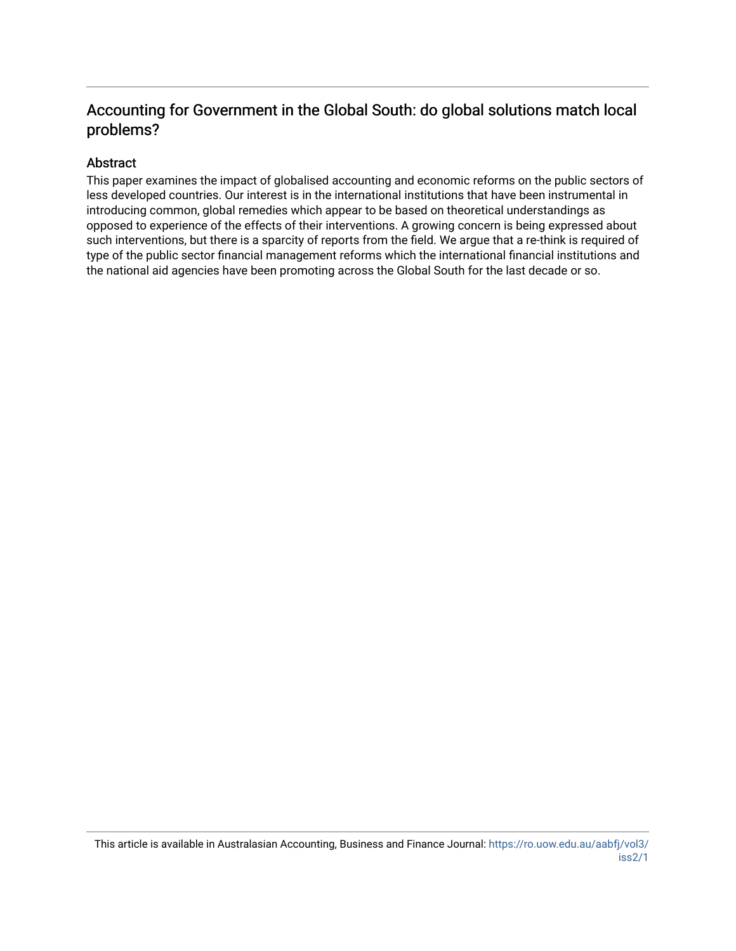## Accounting for Government in the Global South: do global solutions match local problems?

#### Abstract

This paper examines the impact of globalised accounting and economic reforms on the public sectors of less developed countries. Our interest is in the international institutions that have been instrumental in introducing common, global remedies which appear to be based on theoretical understandings as opposed to experience of the effects of their interventions. A growing concern is being expressed about such interventions, but there is a sparcity of reports from the field. We argue that a re-think is required of type of the public sector financial management reforms which the international financial institutions and the national aid agencies have been promoting across the Global South for the last decade or so.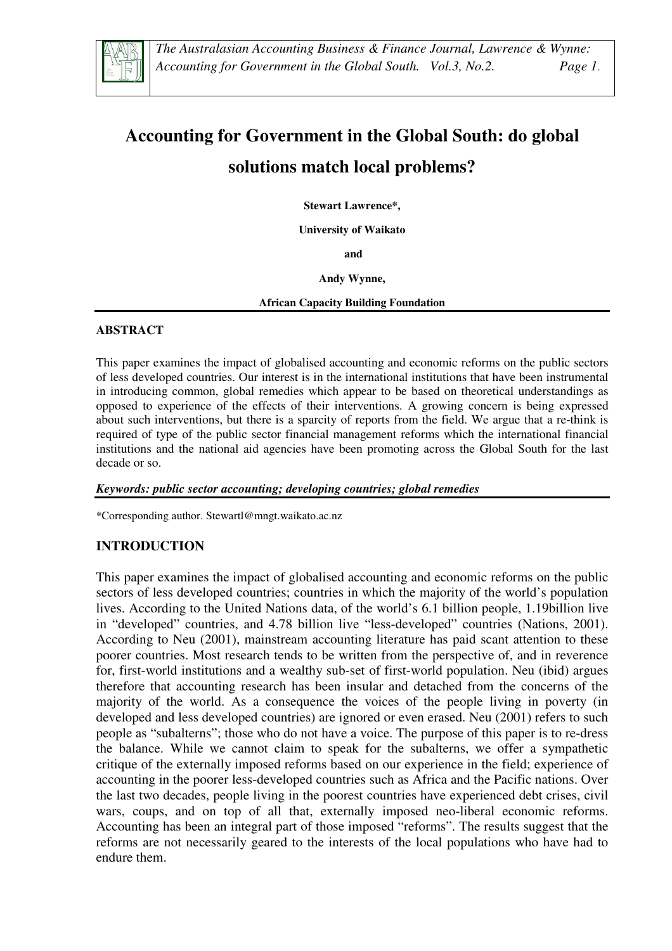

*The Australasian Accounting Business & Finance Journal, Lawrence & Wynne: Accounting for Government in the Global South. Vol.3, No.2. Page 1*.

# **Accounting for Government in the Global South: do global solutions match local problems?**

**Stewart Lawrence\*,** 

**University of Waikato** 

 **and** 

**Andy Wynne,** 

**African Capacity Building Foundation** 

#### **ABSTRACT**

This paper examines the impact of globalised accounting and economic reforms on the public sectors of less developed countries. Our interest is in the international institutions that have been instrumental in introducing common, global remedies which appear to be based on theoretical understandings as opposed to experience of the effects of their interventions. A growing concern is being expressed about such interventions, but there is a sparcity of reports from the field. We argue that a re-think is required of type of the public sector financial management reforms which the international financial institutions and the national aid agencies have been promoting across the Global South for the last decade or so.

#### *Keywords: public sector accounting; developing countries; global remedies*

\*Corresponding author. Stewartl@mngt.waikato.ac.nz

## **INTRODUCTION**

This paper examines the impact of globalised accounting and economic reforms on the public sectors of less developed countries; countries in which the majority of the world's population lives. According to the United Nations data, of the world's 6.1 billion people, 1.19billion live in "developed" countries, and 4.78 billion live "less-developed" countries (Nations, 2001). According to Neu (2001), mainstream accounting literature has paid scant attention to these poorer countries. Most research tends to be written from the perspective of, and in reverence for, first-world institutions and a wealthy sub-set of first-world population. Neu (ibid) argues therefore that accounting research has been insular and detached from the concerns of the majority of the world. As a consequence the voices of the people living in poverty (in developed and less developed countries) are ignored or even erased. Neu (2001) refers to such people as "subalterns"; those who do not have a voice. The purpose of this paper is to re-dress the balance. While we cannot claim to speak for the subalterns, we offer a sympathetic critique of the externally imposed reforms based on our experience in the field; experience of accounting in the poorer less-developed countries such as Africa and the Pacific nations. Over the last two decades, people living in the poorest countries have experienced debt crises, civil wars, coups, and on top of all that, externally imposed neo-liberal economic reforms. Accounting has been an integral part of those imposed "reforms". The results suggest that the reforms are not necessarily geared to the interests of the local populations who have had to endure them.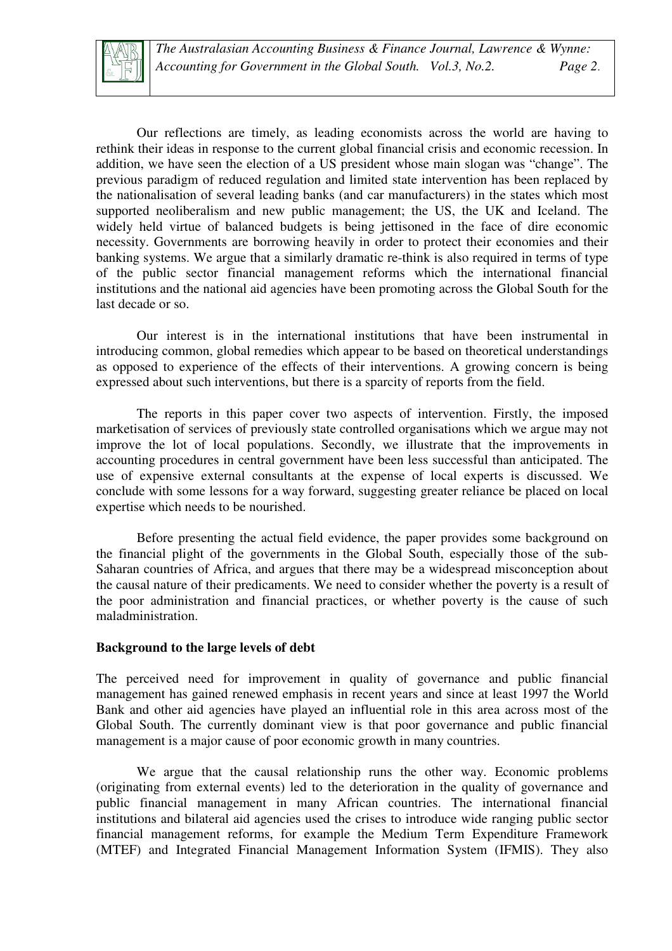Our reflections are timely, as leading economists across the world are having to rethink their ideas in response to the current global financial crisis and economic recession. In addition, we have seen the election of a US president whose main slogan was "change". The previous paradigm of reduced regulation and limited state intervention has been replaced by the nationalisation of several leading banks (and car manufacturers) in the states which most supported neoliberalism and new public management; the US, the UK and Iceland. The widely held virtue of balanced budgets is being jettisoned in the face of dire economic necessity. Governments are borrowing heavily in order to protect their economies and their banking systems. We argue that a similarly dramatic re-think is also required in terms of type of the public sector financial management reforms which the international financial institutions and the national aid agencies have been promoting across the Global South for the last decade or so.

Our interest is in the international institutions that have been instrumental in introducing common, global remedies which appear to be based on theoretical understandings as opposed to experience of the effects of their interventions. A growing concern is being expressed about such interventions, but there is a sparcity of reports from the field.

The reports in this paper cover two aspects of intervention. Firstly, the imposed marketisation of services of previously state controlled organisations which we argue may not improve the lot of local populations. Secondly, we illustrate that the improvements in accounting procedures in central government have been less successful than anticipated. The use of expensive external consultants at the expense of local experts is discussed. We conclude with some lessons for a way forward, suggesting greater reliance be placed on local expertise which needs to be nourished.

Before presenting the actual field evidence, the paper provides some background on the financial plight of the governments in the Global South, especially those of the sub-Saharan countries of Africa, and argues that there may be a widespread misconception about the causal nature of their predicaments. We need to consider whether the poverty is a result of the poor administration and financial practices, or whether poverty is the cause of such maladministration.

## **Background to the large levels of debt**

The perceived need for improvement in quality of governance and public financial management has gained renewed emphasis in recent years and since at least 1997 the World Bank and other aid agencies have played an influential role in this area across most of the Global South. The currently dominant view is that poor governance and public financial management is a major cause of poor economic growth in many countries.

We argue that the causal relationship runs the other way. Economic problems (originating from external events) led to the deterioration in the quality of governance and public financial management in many African countries. The international financial institutions and bilateral aid agencies used the crises to introduce wide ranging public sector financial management reforms, for example the Medium Term Expenditure Framework (MTEF) and Integrated Financial Management Information System (IFMIS). They also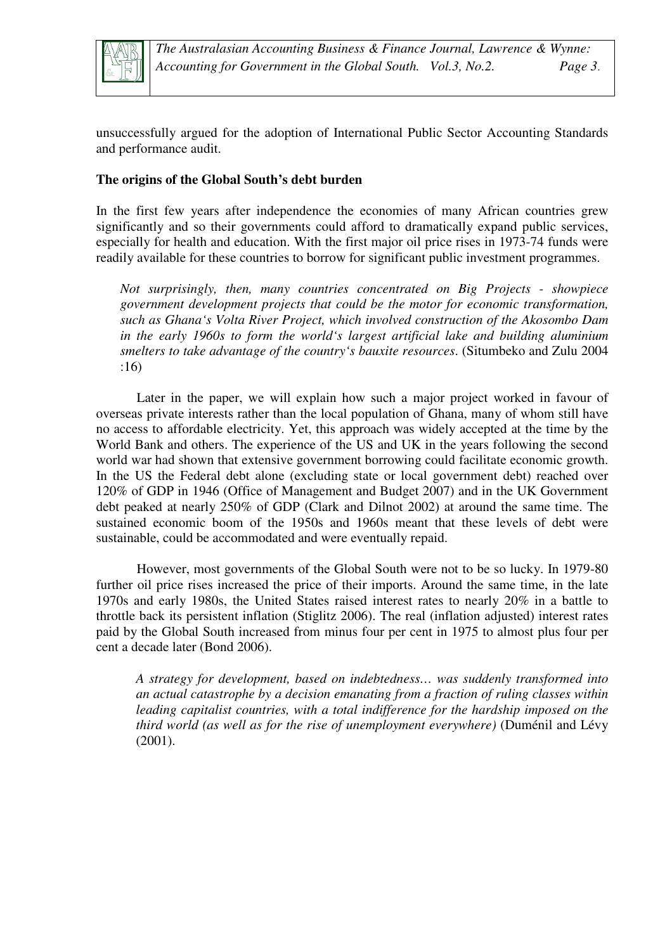

unsuccessfully argued for the adoption of International Public Sector Accounting Standards and performance audit.

#### **The origins of the Global South's debt burden**

In the first few years after independence the economies of many African countries grew significantly and so their governments could afford to dramatically expand public services, especially for health and education. With the first major oil price rises in 1973-74 funds were readily available for these countries to borrow for significant public investment programmes.

*Not surprisingly, then, many countries concentrated on Big Projects - showpiece government development projects that could be the motor for economic transformation, such as Ghana's Volta River Project, which involved construction of the Akosombo Dam in the early 1960s to form the world's largest artificial lake and building aluminium smelters to take advantage of the country's bauxite resources*. (Situmbeko and Zulu 2004 :16)

Later in the paper, we will explain how such a major project worked in favour of overseas private interests rather than the local population of Ghana, many of whom still have no access to affordable electricity. Yet, this approach was widely accepted at the time by the World Bank and others. The experience of the US and UK in the years following the second world war had shown that extensive government borrowing could facilitate economic growth. In the US the Federal debt alone (excluding state or local government debt) reached over 120% of GDP in 1946 (Office of Management and Budget 2007) and in the UK Government debt peaked at nearly 250% of GDP (Clark and Dilnot 2002) at around the same time. The sustained economic boom of the 1950s and 1960s meant that these levels of debt were sustainable, could be accommodated and were eventually repaid.

However, most governments of the Global South were not to be so lucky. In 1979-80 further oil price rises increased the price of their imports. Around the same time, in the late 1970s and early 1980s, the United States raised interest rates to nearly 20% in a battle to throttle back its persistent inflation (Stiglitz 2006). The real (inflation adjusted) interest rates paid by the Global South increased from minus four per cent in 1975 to almost plus four per cent a decade later (Bond 2006).

*A strategy for development, based on indebtedness… was suddenly transformed into an actual catastrophe by a decision emanating from a fraction of ruling classes within leading capitalist countries, with a total indifference for the hardship imposed on the third world (as well as for the rise of unemployment everywhere)* (Duménil and Lévy (2001).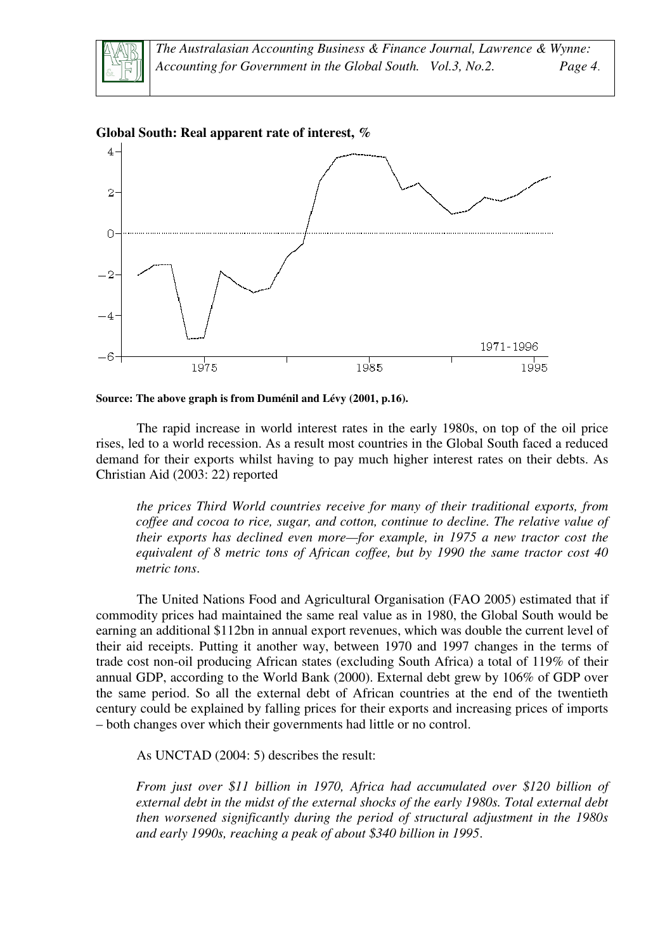





**Source: The above graph is from Duménil and Lévy (2001, p.16).**

The rapid increase in world interest rates in the early 1980s, on top of the oil price rises, led to a world recession. As a result most countries in the Global South faced a reduced demand for their exports whilst having to pay much higher interest rates on their debts. As Christian Aid (2003: 22) reported

*the prices Third World countries receive for many of their traditional exports, from coffee and cocoa to rice, sugar, and cotton, continue to decline. The relative value of their exports has declined even more—for example, in 1975 a new tractor cost the equivalent of 8 metric tons of African coffee, but by 1990 the same tractor cost 40 metric tons*.

The United Nations Food and Agricultural Organisation (FAO 2005) estimated that if commodity prices had maintained the same real value as in 1980, the Global South would be earning an additional \$112bn in annual export revenues, which was double the current level of their aid receipts. Putting it another way, between 1970 and 1997 changes in the terms of trade cost non-oil producing African states (excluding South Africa) a total of 119% of their annual GDP, according to the World Bank (2000). External debt grew by 106% of GDP over the same period. So all the external debt of African countries at the end of the twentieth century could be explained by falling prices for their exports and increasing prices of imports – both changes over which their governments had little or no control.

As UNCTAD (2004: 5) describes the result:

*From just over \$11 billion in 1970, Africa had accumulated over \$120 billion of external debt in the midst of the external shocks of the early 1980s. Total external debt then worsened significantly during the period of structural adjustment in the 1980s and early 1990s, reaching a peak of about \$340 billion in 1995*.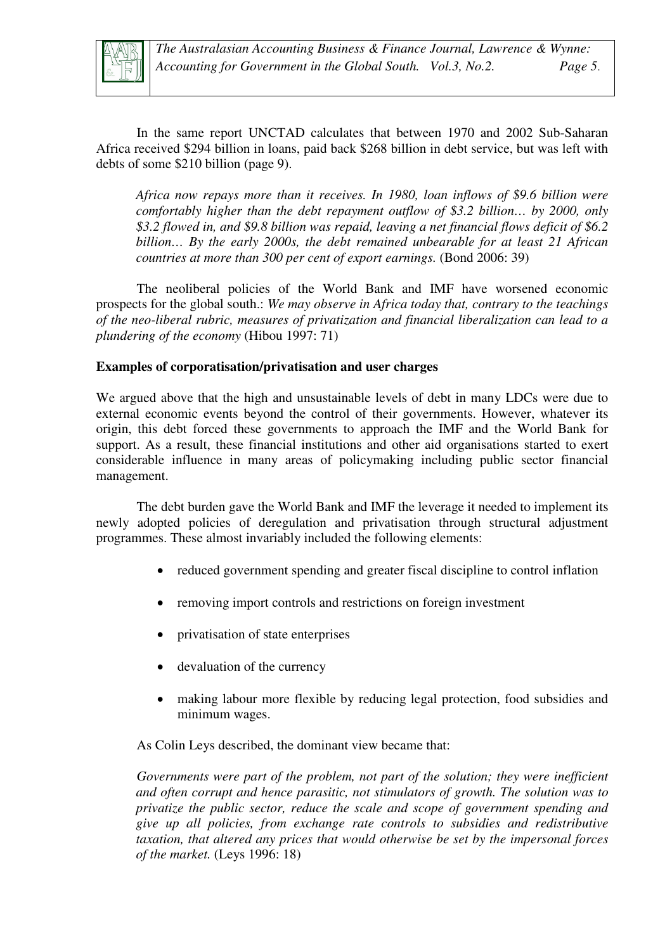

*The Australasian Accounting Business & Finance Journal, Lawrence & Wynne: Accounting for Government in the Global South. Vol.3, No.2. Page 5*.

In the same report UNCTAD calculates that between 1970 and 2002 Sub-Saharan Africa received \$294 billion in loans, paid back \$268 billion in debt service, but was left with debts of some \$210 billion (page 9).

*Africa now repays more than it receives. In 1980, loan inflows of \$9.6 billion were comfortably higher than the debt repayment outflow of \$3.2 billion… by 2000, only \$3.2 flowed in, and \$9.8 billion was repaid, leaving a net financial flows deficit of \$6.2 billion… By the early 2000s, the debt remained unbearable for at least 21 African countries at more than 300 per cent of export earnings.* (Bond 2006: 39)

The neoliberal policies of the World Bank and IMF have worsened economic prospects for the global south.: *We may observe in Africa today that, contrary to the teachings of the neo-liberal rubric, measures of privatization and financial liberalization can lead to a plundering of the economy* (Hibou 1997: 71)

#### **Examples of corporatisation/privatisation and user charges**

We argued above that the high and unsustainable levels of debt in many LDCs were due to external economic events beyond the control of their governments. However, whatever its origin, this debt forced these governments to approach the IMF and the World Bank for support. As a result, these financial institutions and other aid organisations started to exert considerable influence in many areas of policymaking including public sector financial management.

The debt burden gave the World Bank and IMF the leverage it needed to implement its newly adopted policies of deregulation and privatisation through structural adjustment programmes. These almost invariably included the following elements:

- reduced government spending and greater fiscal discipline to control inflation
- removing import controls and restrictions on foreign investment
- privatisation of state enterprises
- devaluation of the currency
- making labour more flexible by reducing legal protection, food subsidies and minimum wages.

As Colin Leys described, the dominant view became that:

*Governments were part of the problem, not part of the solution; they were inefficient and often corrupt and hence parasitic, not stimulators of growth. The solution was to privatize the public sector, reduce the scale and scope of government spending and give up all policies, from exchange rate controls to subsidies and redistributive taxation, that altered any prices that would otherwise be set by the impersonal forces of the market.* (Leys 1996: 18)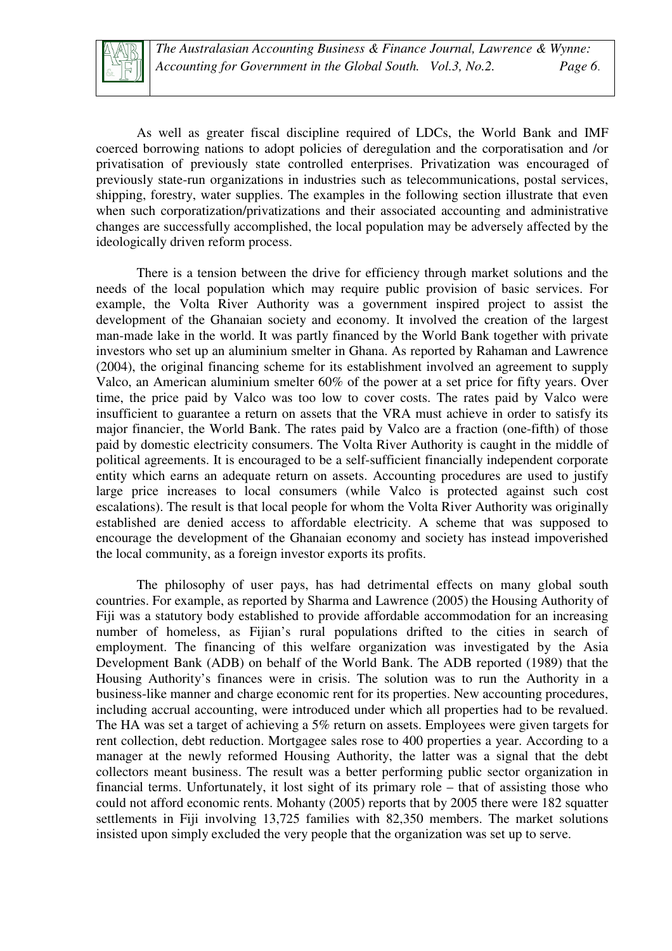

As well as greater fiscal discipline required of LDCs, the World Bank and IMF coerced borrowing nations to adopt policies of deregulation and the corporatisation and /or privatisation of previously state controlled enterprises. Privatization was encouraged of previously state-run organizations in industries such as telecommunications, postal services, shipping, forestry, water supplies. The examples in the following section illustrate that even when such corporatization/privatizations and their associated accounting and administrative changes are successfully accomplished, the local population may be adversely affected by the ideologically driven reform process.

There is a tension between the drive for efficiency through market solutions and the needs of the local population which may require public provision of basic services. For example, the Volta River Authority was a government inspired project to assist the development of the Ghanaian society and economy. It involved the creation of the largest man-made lake in the world. It was partly financed by the World Bank together with private investors who set up an aluminium smelter in Ghana. As reported by Rahaman and Lawrence (2004), the original financing scheme for its establishment involved an agreement to supply Valco, an American aluminium smelter 60% of the power at a set price for fifty years. Over time, the price paid by Valco was too low to cover costs. The rates paid by Valco were insufficient to guarantee a return on assets that the VRA must achieve in order to satisfy its major financier, the World Bank. The rates paid by Valco are a fraction (one-fifth) of those paid by domestic electricity consumers. The Volta River Authority is caught in the middle of political agreements. It is encouraged to be a self-sufficient financially independent corporate entity which earns an adequate return on assets. Accounting procedures are used to justify large price increases to local consumers (while Valco is protected against such cost escalations). The result is that local people for whom the Volta River Authority was originally established are denied access to affordable electricity. A scheme that was supposed to encourage the development of the Ghanaian economy and society has instead impoverished the local community, as a foreign investor exports its profits.

The philosophy of user pays, has had detrimental effects on many global south countries. For example, as reported by Sharma and Lawrence (2005) the Housing Authority of Fiji was a statutory body established to provide affordable accommodation for an increasing number of homeless, as Fijian's rural populations drifted to the cities in search of employment. The financing of this welfare organization was investigated by the Asia Development Bank (ADB) on behalf of the World Bank. The ADB reported (1989) that the Housing Authority's finances were in crisis. The solution was to run the Authority in a business-like manner and charge economic rent for its properties. New accounting procedures, including accrual accounting, were introduced under which all properties had to be revalued. The HA was set a target of achieving a 5% return on assets. Employees were given targets for rent collection, debt reduction. Mortgagee sales rose to 400 properties a year. According to a manager at the newly reformed Housing Authority, the latter was a signal that the debt collectors meant business. The result was a better performing public sector organization in financial terms. Unfortunately, it lost sight of its primary role – that of assisting those who could not afford economic rents. Mohanty (2005) reports that by 2005 there were 182 squatter settlements in Fiji involving 13,725 families with 82,350 members. The market solutions insisted upon simply excluded the very people that the organization was set up to serve.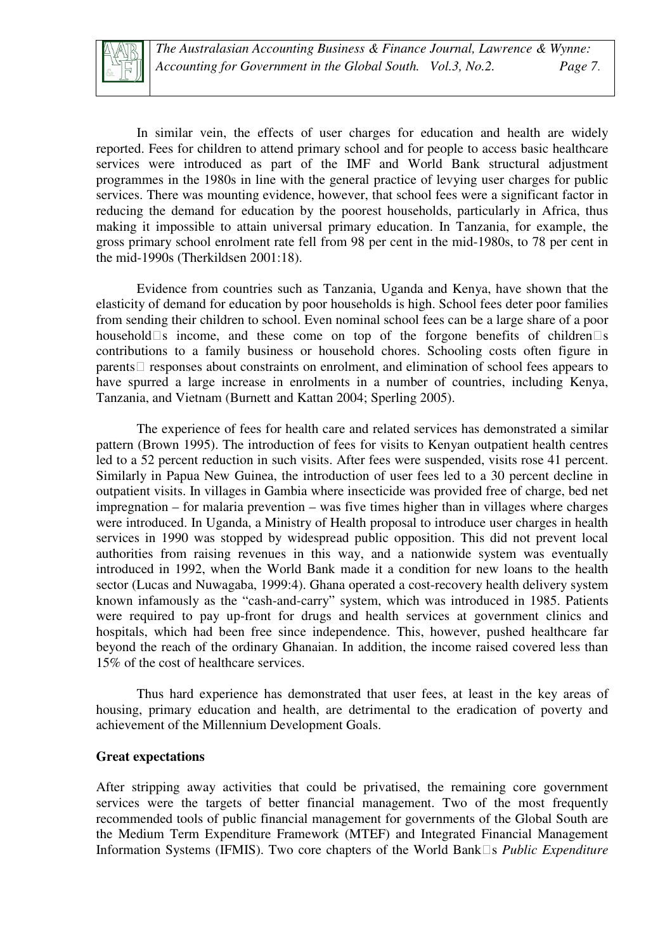

In similar vein, the effects of user charges for education and health are widely reported. Fees for children to attend primary school and for people to access basic healthcare services were introduced as part of the IMF and World Bank structural adjustment programmes in the 1980s in line with the general practice of levying user charges for public services. There was mounting evidence, however, that school fees were a significant factor in reducing the demand for education by the poorest households, particularly in Africa, thus making it impossible to attain universal primary education. In Tanzania, for example, the gross primary school enrolment rate fell from 98 per cent in the mid-1980s, to 78 per cent in the mid-1990s (Therkildsen 2001:18).

Evidence from countries such as Tanzania, Uganda and Kenya, have shown that the elasticity of demand for education by poor households is high. School fees deter poor families from sending their children to school. Even nominal school fees can be a large share of a poor household s income, and these come on top of the forgone benefits of children s contributions to a family business or household chores. Schooling costs often figure in parents responses about constraints on enrolment, and elimination of school fees appears to have spurred a large increase in enrolments in a number of countries, including Kenya, Tanzania, and Vietnam (Burnett and Kattan 2004; Sperling 2005).

The experience of fees for health care and related services has demonstrated a similar pattern (Brown 1995). The introduction of fees for visits to Kenyan outpatient health centres led to a 52 percent reduction in such visits. After fees were suspended, visits rose 41 percent. Similarly in Papua New Guinea, the introduction of user fees led to a 30 percent decline in outpatient visits. In villages in Gambia where insecticide was provided free of charge, bed net impregnation – for malaria prevention – was five times higher than in villages where charges were introduced. In Uganda, a Ministry of Health proposal to introduce user charges in health services in 1990 was stopped by widespread public opposition. This did not prevent local authorities from raising revenues in this way, and a nationwide system was eventually introduced in 1992, when the World Bank made it a condition for new loans to the health sector (Lucas and Nuwagaba, 1999:4). Ghana operated a cost-recovery health delivery system known infamously as the "cash-and-carry" system, which was introduced in 1985. Patients were required to pay up-front for drugs and health services at government clinics and hospitals, which had been free since independence. This, however, pushed healthcare far beyond the reach of the ordinary Ghanaian. In addition, the income raised covered less than 15% of the cost of healthcare services.

Thus hard experience has demonstrated that user fees, at least in the key areas of housing, primary education and health, are detrimental to the eradication of poverty and achievement of the Millennium Development Goals.

#### **Great expectations**

After stripping away activities that could be privatised, the remaining core government services were the targets of better financial management. Two of the most frequently recommended tools of public financial management for governments of the Global South are the Medium Term Expenditure Framework (MTEF) and Integrated Financial Management Information Systems (IFMIS). Two core chapters of the World Bank *s Public Expenditure*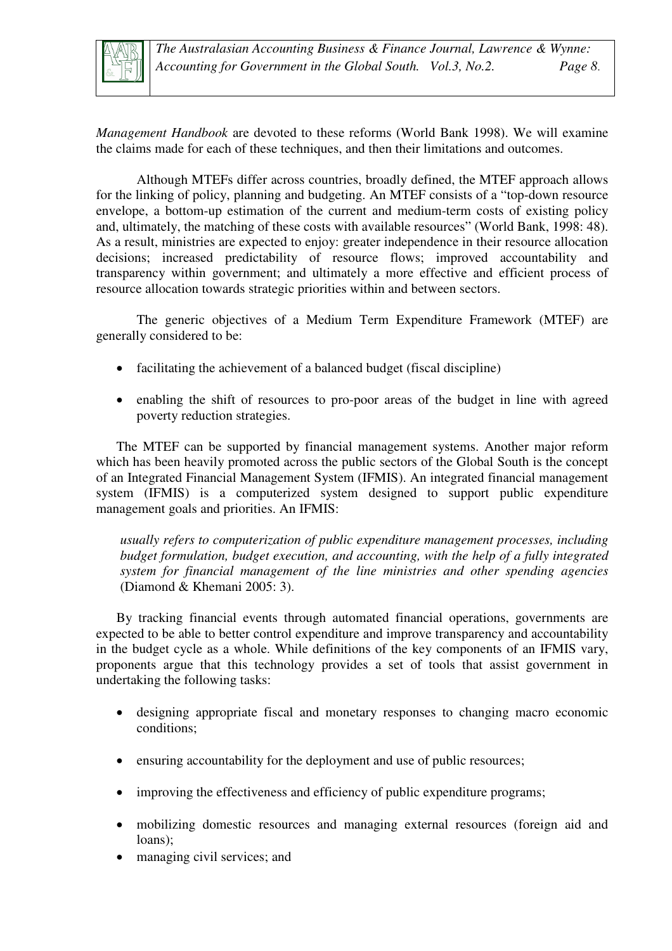

*Management Handbook* are devoted to these reforms (World Bank 1998). We will examine the claims made for each of these techniques, and then their limitations and outcomes.

Although MTEFs differ across countries, broadly defined, the MTEF approach allows for the linking of policy, planning and budgeting. An MTEF consists of a "top-down resource envelope, a bottom-up estimation of the current and medium-term costs of existing policy and, ultimately, the matching of these costs with available resources" (World Bank, 1998: 48). As a result, ministries are expected to enjoy: greater independence in their resource allocation decisions; increased predictability of resource flows; improved accountability and transparency within government; and ultimately a more effective and efficient process of resource allocation towards strategic priorities within and between sectors.

The generic objectives of a Medium Term Expenditure Framework (MTEF) are generally considered to be:

- facilitating the achievement of a balanced budget (fiscal discipline)
- enabling the shift of resources to pro-poor areas of the budget in line with agreed poverty reduction strategies.

The MTEF can be supported by financial management systems. Another major reform which has been heavily promoted across the public sectors of the Global South is the concept of an Integrated Financial Management System (IFMIS). An integrated financial management system (IFMIS) is a computerized system designed to support public expenditure management goals and priorities. An IFMIS:

*usually refers to computerization of public expenditure management processes, including budget formulation, budget execution, and accounting, with the help of a fully integrated system for financial management of the line ministries and other spending agencies*  (Diamond & Khemani 2005: 3).

By tracking financial events through automated financial operations, governments are expected to be able to better control expenditure and improve transparency and accountability in the budget cycle as a whole. While definitions of the key components of an IFMIS vary, proponents argue that this technology provides a set of tools that assist government in undertaking the following tasks:

- designing appropriate fiscal and monetary responses to changing macro economic conditions;
- ensuring accountability for the deployment and use of public resources;
- improving the effectiveness and efficiency of public expenditure programs;
- mobilizing domestic resources and managing external resources (foreign aid and loans);
- managing civil services; and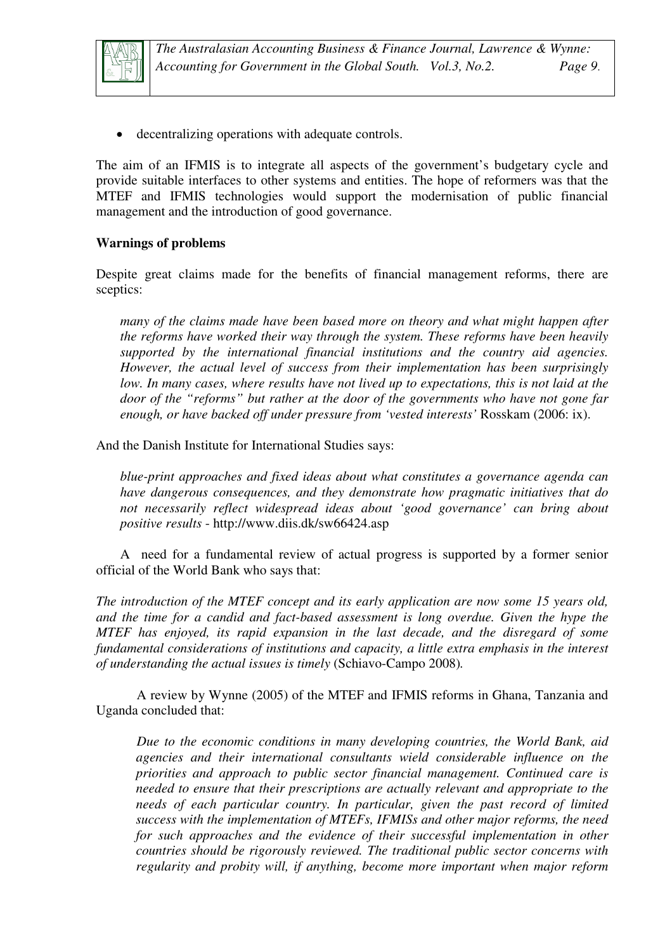

decentralizing operations with adequate controls.

The aim of an IFMIS is to integrate all aspects of the government's budgetary cycle and provide suitable interfaces to other systems and entities. The hope of reformers was that the MTEF and IFMIS technologies would support the modernisation of public financial management and the introduction of good governance.

## **Warnings of problems**

Despite great claims made for the benefits of financial management reforms, there are sceptics:

*many of the claims made have been based more on theory and what might happen after the reforms have worked their way through the system. These reforms have been heavily supported by the international financial institutions and the country aid agencies. However, the actual level of success from their implementation has been surprisingly low. In many cases, where results have not lived up to expectations, this is not laid at the door of the "reforms" but rather at the door of the governments who have not gone far enough, or have backed off under pressure from 'vested interests'* Rosskam (2006: ix).

And the Danish Institute for International Studies says:

*blue-print approaches and fixed ideas about what constitutes a governance agenda can have dangerous consequences, and they demonstrate how pragmatic initiatives that do not necessarily reflect widespread ideas about 'good governance' can bring about positive results* - http://www.diis.dk/sw66424.asp

A need for a fundamental review of actual progress is supported by a former senior official of the World Bank who says that:

*The introduction of the MTEF concept and its early application are now some 15 years old, and the time for a candid and fact-based assessment is long overdue. Given the hype the MTEF has enjoyed, its rapid expansion in the last decade, and the disregard of some fundamental considerations of institutions and capacity, a little extra emphasis in the interest of understanding the actual issues is timely* (Schiavo-Campo 2008)*.* 

A review by Wynne (2005) of the MTEF and IFMIS reforms in Ghana, Tanzania and Uganda concluded that:

*Due to the economic conditions in many developing countries, the World Bank, aid agencies and their international consultants wield considerable influence on the priorities and approach to public sector financial management. Continued care is needed to ensure that their prescriptions are actually relevant and appropriate to the needs of each particular country. In particular, given the past record of limited success with the implementation of MTEFs, IFMISs and other major reforms, the need for such approaches and the evidence of their successful implementation in other countries should be rigorously reviewed. The traditional public sector concerns with regularity and probity will, if anything, become more important when major reform*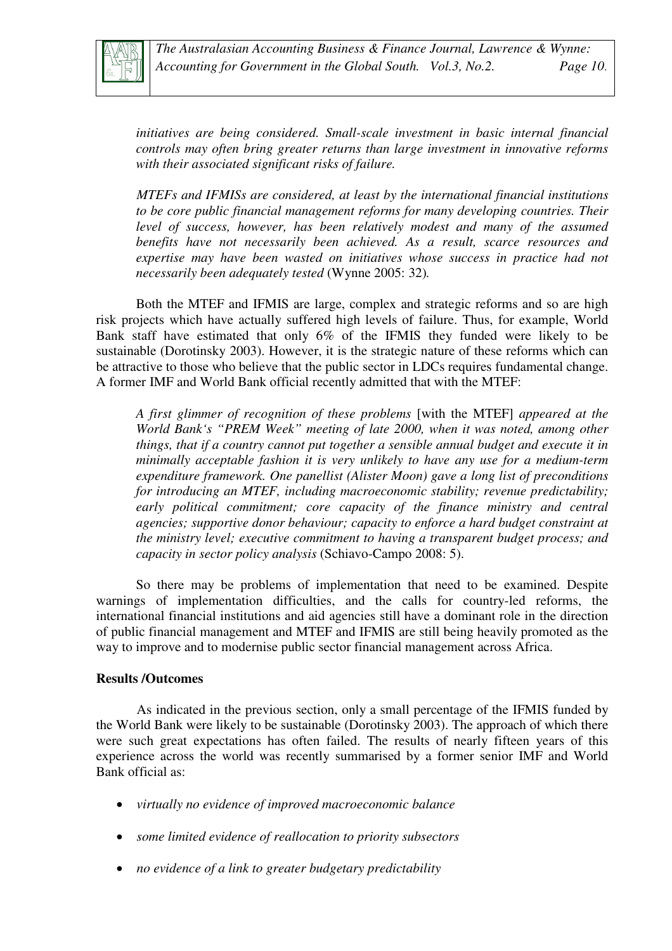

*initiatives are being considered. Small-scale investment in basic internal financial controls may often bring greater returns than large investment in innovative reforms with their associated significant risks of failure.* 

*MTEFs and IFMISs are considered, at least by the international financial institutions to be core public financial management reforms for many developing countries. Their level of success, however, has been relatively modest and many of the assumed benefits have not necessarily been achieved. As a result, scarce resources and*  expertise may have been wasted on initiatives whose success in practice had not *necessarily been adequately tested* (Wynne 2005: 32)*.* 

Both the MTEF and IFMIS are large, complex and strategic reforms and so are high risk projects which have actually suffered high levels of failure. Thus, for example, World Bank staff have estimated that only 6% of the IFMIS they funded were likely to be sustainable (Dorotinsky 2003). However, it is the strategic nature of these reforms which can be attractive to those who believe that the public sector in LDCs requires fundamental change. A former IMF and World Bank official recently admitted that with the MTEF:

*A first glimmer of recognition of these problems* [with the MTEF] *appeared at the World Bank's "PREM Week" meeting of late 2000, when it was noted, among other things, that if a country cannot put together a sensible annual budget and execute it in minimally acceptable fashion it is very unlikely to have any use for a medium-term expenditure framework. One panellist (Alister Moon) gave a long list of preconditions for introducing an MTEF, including macroeconomic stability; revenue predictability; early political commitment; core capacity of the finance ministry and central agencies; supportive donor behaviour; capacity to enforce a hard budget constraint at the ministry level; executive commitment to having a transparent budget process; and capacity in sector policy analysis* (Schiavo-Campo 2008: 5).

So there may be problems of implementation that need to be examined. Despite warnings of implementation difficulties, and the calls for country-led reforms, the international financial institutions and aid agencies still have a dominant role in the direction of public financial management and MTEF and IFMIS are still being heavily promoted as the way to improve and to modernise public sector financial management across Africa.

## **Results /Outcomes**

As indicated in the previous section, only a small percentage of the IFMIS funded by the World Bank were likely to be sustainable (Dorotinsky 2003). The approach of which there were such great expectations has often failed. The results of nearly fifteen years of this experience across the world was recently summarised by a former senior IMF and World Bank official as:

- *virtually no evidence of improved macroeconomic balance*
- *some limited evidence of reallocation to priority subsectors*
- *no evidence of a link to greater budgetary predictability*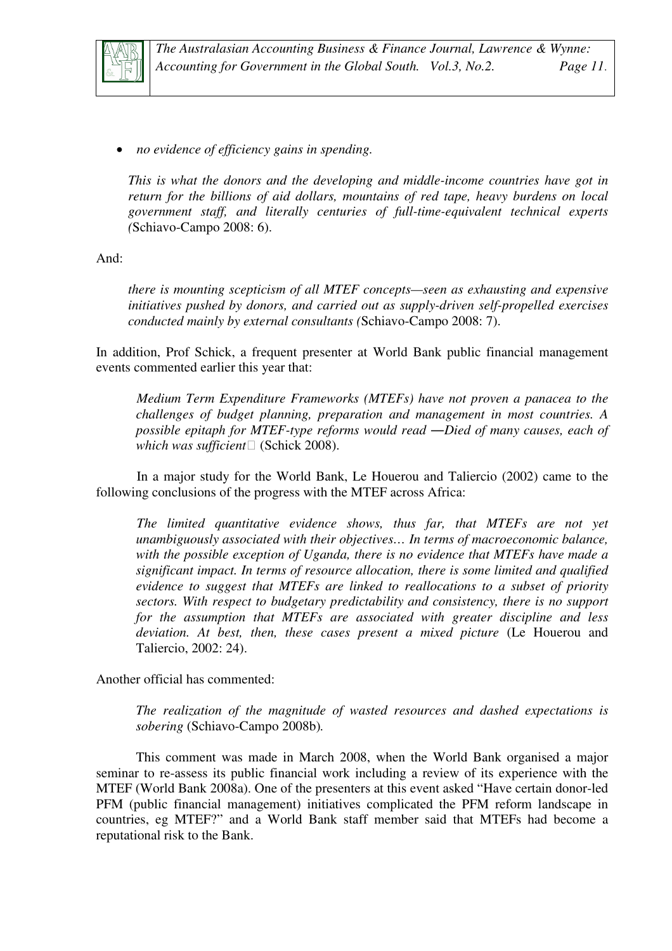

• *no evidence of efficiency gains in spending.* 

*This is what the donors and the developing and middle-income countries have got in return for the billions of aid dollars, mountains of red tape, heavy burdens on local government staff, and literally centuries of full-time-equivalent technical experts (*Schiavo-Campo 2008: 6).

And:

*there is mounting scepticism of all MTEF concepts—seen as exhausting and expensive initiatives pushed by donors, and carried out as supply-driven self-propelled exercises conducted mainly by external consultants (*Schiavo-Campo 2008: 7).

In addition, Prof Schick, a frequent presenter at World Bank public financial management events commented earlier this year that:

*Medium Term Expenditure Frameworks (MTEFs) have not proven a panacea to the challenges of budget planning, preparation and management in most countries. A possible epitaph for MTEF-type reforms would read —Died of many causes, each of which was sufficient*‖ (Schick 2008).

In a major study for the World Bank, Le Houerou and Taliercio (2002) came to the following conclusions of the progress with the MTEF across Africa:

*The limited quantitative evidence shows, thus far, that MTEFs are not yet unambiguously associated with their objectives… In terms of macroeconomic balance, with the possible exception of Uganda, there is no evidence that MTEFs have made a significant impact. In terms of resource allocation, there is some limited and qualified evidence to suggest that MTEFs are linked to reallocations to a subset of priority sectors. With respect to budgetary predictability and consistency, there is no support for the assumption that MTEFs are associated with greater discipline and less deviation. At best, then, these cases present a mixed picture* (Le Houerou and Taliercio, 2002: 24).

Another official has commented:

*The realization of the magnitude of wasted resources and dashed expectations is sobering* (Schiavo-Campo 2008b)*.* 

This comment was made in March 2008, when the World Bank organised a major seminar to re-assess its public financial work including a review of its experience with the MTEF (World Bank 2008a). One of the presenters at this event asked "Have certain donor-led PFM (public financial management) initiatives complicated the PFM reform landscape in countries, eg MTEF?" and a World Bank staff member said that MTEFs had become a reputational risk to the Bank.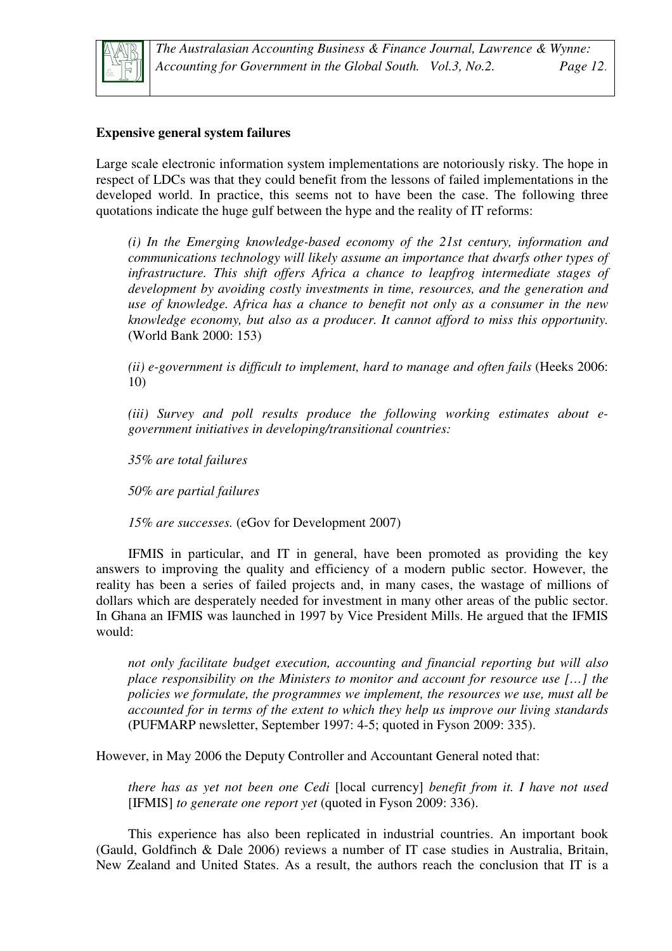

## **Expensive general system failures**

Large scale electronic information system implementations are notoriously risky. The hope in respect of LDCs was that they could benefit from the lessons of failed implementations in the developed world. In practice, this seems not to have been the case. The following three quotations indicate the huge gulf between the hype and the reality of IT reforms:

*(i) In the Emerging knowledge-based economy of the 21st century, information and communications technology will likely assume an importance that dwarfs other types of infrastructure. This shift offers Africa a chance to leapfrog intermediate stages of development by avoiding costly investments in time, resources, and the generation and use of knowledge. Africa has a chance to benefit not only as a consumer in the new knowledge economy, but also as a producer. It cannot afford to miss this opportunity.*  (World Bank 2000: 153)

*(ii) e-government is difficult to implement, hard to manage and often fails* (Heeks 2006: 10)

*(iii) Survey and poll results produce the following working estimates about egovernment initiatives in developing/transitional countries:* 

*35% are total failures* 

*50% are partial failures* 

*15% are successes.* (eGov for Development 2007)

IFMIS in particular, and IT in general, have been promoted as providing the key answers to improving the quality and efficiency of a modern public sector. However, the reality has been a series of failed projects and, in many cases, the wastage of millions of dollars which are desperately needed for investment in many other areas of the public sector. In Ghana an IFMIS was launched in 1997 by Vice President Mills. He argued that the IFMIS would:

*not only facilitate budget execution, accounting and financial reporting but will also place responsibility on the Ministers to monitor and account for resource use […] the policies we formulate, the programmes we implement, the resources we use, must all be accounted for in terms of the extent to which they help us improve our living standards*  (PUFMARP newsletter, September 1997: 4-5; quoted in Fyson 2009: 335).

However, in May 2006 the Deputy Controller and Accountant General noted that:

*there has as yet not been one Cedi* [local currency] *benefit from it. I have not used*  [IFMIS] *to generate one report yet* (quoted in Fyson 2009: 336).

This experience has also been replicated in industrial countries. An important book (Gauld, Goldfinch & Dale 2006) reviews a number of IT case studies in Australia, Britain, New Zealand and United States. As a result, the authors reach the conclusion that IT is a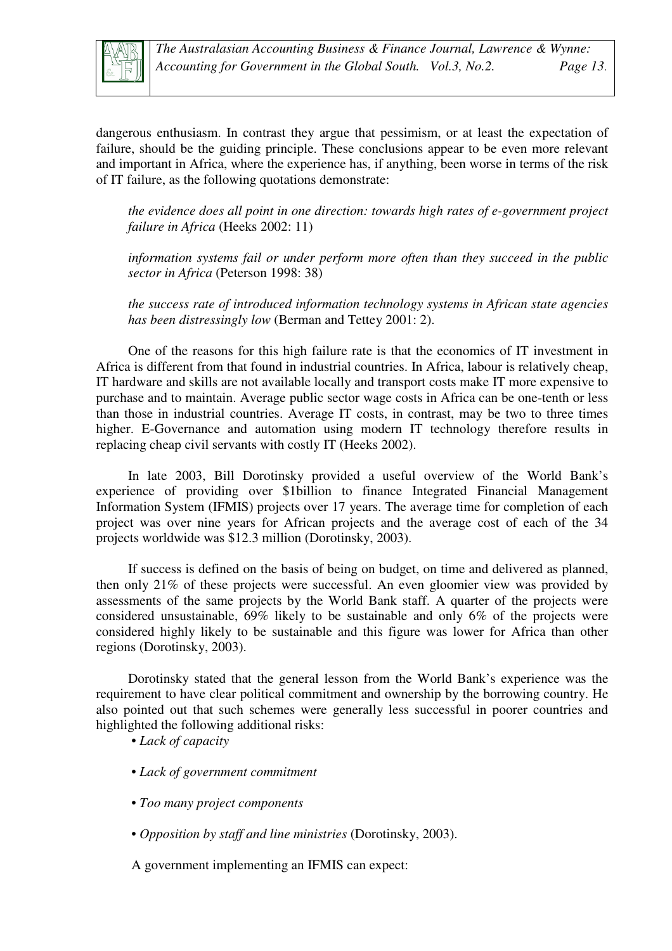

dangerous enthusiasm. In contrast they argue that pessimism, or at least the expectation of failure, should be the guiding principle. These conclusions appear to be even more relevant and important in Africa, where the experience has, if anything, been worse in terms of the risk of IT failure, as the following quotations demonstrate:

*the evidence does all point in one direction: towards high rates of e-government project failure in Africa* (Heeks 2002: 11)

*information systems fail or under perform more often than they succeed in the public sector in Africa* (Peterson 1998: 38)

*the success rate of introduced information technology systems in African state agencies has been distressingly low* (Berman and Tettey 2001: 2).

One of the reasons for this high failure rate is that the economics of IT investment in Africa is different from that found in industrial countries. In Africa, labour is relatively cheap, IT hardware and skills are not available locally and transport costs make IT more expensive to purchase and to maintain. Average public sector wage costs in Africa can be one-tenth or less than those in industrial countries. Average IT costs, in contrast, may be two to three times higher. E-Governance and automation using modern IT technology therefore results in replacing cheap civil servants with costly IT (Heeks 2002).

In late 2003, Bill Dorotinsky provided a useful overview of the World Bank's experience of providing over \$1billion to finance Integrated Financial Management Information System (IFMIS) projects over 17 years. The average time for completion of each project was over nine years for African projects and the average cost of each of the 34 projects worldwide was \$12.3 million (Dorotinsky, 2003).

If success is defined on the basis of being on budget, on time and delivered as planned, then only 21% of these projects were successful. An even gloomier view was provided by assessments of the same projects by the World Bank staff. A quarter of the projects were considered unsustainable, 69% likely to be sustainable and only 6% of the projects were considered highly likely to be sustainable and this figure was lower for Africa than other regions (Dorotinsky, 2003).

Dorotinsky stated that the general lesson from the World Bank's experience was the requirement to have clear political commitment and ownership by the borrowing country. He also pointed out that such schemes were generally less successful in poorer countries and highlighted the following additional risks:

- *Lack of capacity*
- *Lack of government commitment*
- *Too many project components*
- *Opposition by staff and line ministries* (Dorotinsky, 2003).
- A government implementing an IFMIS can expect: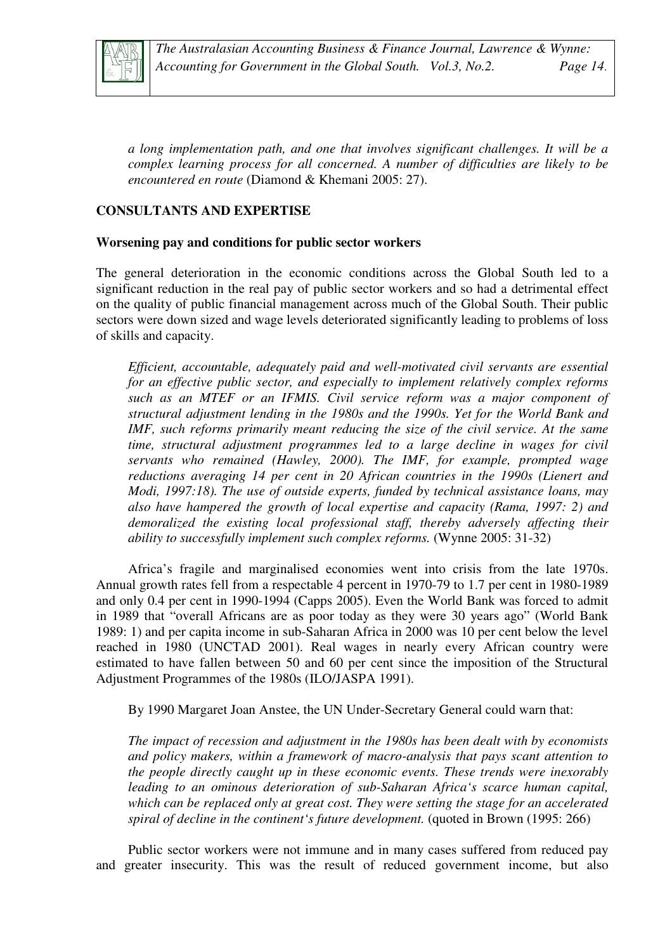

*a long implementation path, and one that involves significant challenges. It will be a complex learning process for all concerned. A number of difficulties are likely to be encountered en route* (Diamond & Khemani 2005: 27).

## **CONSULTANTS AND EXPERTISE**

#### **Worsening pay and conditions for public sector workers**

The general deterioration in the economic conditions across the Global South led to a significant reduction in the real pay of public sector workers and so had a detrimental effect on the quality of public financial management across much of the Global South. Their public sectors were down sized and wage levels deteriorated significantly leading to problems of loss of skills and capacity.

*Efficient, accountable, adequately paid and well-motivated civil servants are essential for an effective public sector, and especially to implement relatively complex reforms such as an MTEF or an IFMIS. Civil service reform was a major component of structural adjustment lending in the 1980s and the 1990s. Yet for the World Bank and IMF, such reforms primarily meant reducing the size of the civil service. At the same time, structural adjustment programmes led to a large decline in wages for civil servants who remained (Hawley, 2000). The IMF, for example, prompted wage reductions averaging 14 per cent in 20 African countries in the 1990s (Lienert and Modi, 1997:18). The use of outside experts, funded by technical assistance loans, may also have hampered the growth of local expertise and capacity (Rama, 1997: 2) and demoralized the existing local professional staff, thereby adversely affecting their ability to successfully implement such complex reforms.* (Wynne 2005: 31-32)

Africa's fragile and marginalised economies went into crisis from the late 1970s. Annual growth rates fell from a respectable 4 percent in 1970-79 to 1.7 per cent in 1980-1989 and only 0.4 per cent in 1990-1994 (Capps 2005). Even the World Bank was forced to admit in 1989 that "overall Africans are as poor today as they were 30 years ago" (World Bank 1989: 1) and per capita income in sub-Saharan Africa in 2000 was 10 per cent below the level reached in 1980 (UNCTAD 2001). Real wages in nearly every African country were estimated to have fallen between 50 and 60 per cent since the imposition of the Structural Adjustment Programmes of the 1980s (ILO/JASPA 1991).

By 1990 Margaret Joan Anstee, the UN Under-Secretary General could warn that:

*The impact of recession and adjustment in the 1980s has been dealt with by economists and policy makers, within a framework of macro-analysis that pays scant attention to the people directly caught up in these economic events. These trends were inexorably leading to an ominous deterioration of sub-Saharan Africa's scarce human capital, which can be replaced only at great cost. They were setting the stage for an accelerated spiral of decline in the continent's future development.* (quoted in Brown (1995: 266)

Public sector workers were not immune and in many cases suffered from reduced pay and greater insecurity. This was the result of reduced government income, but also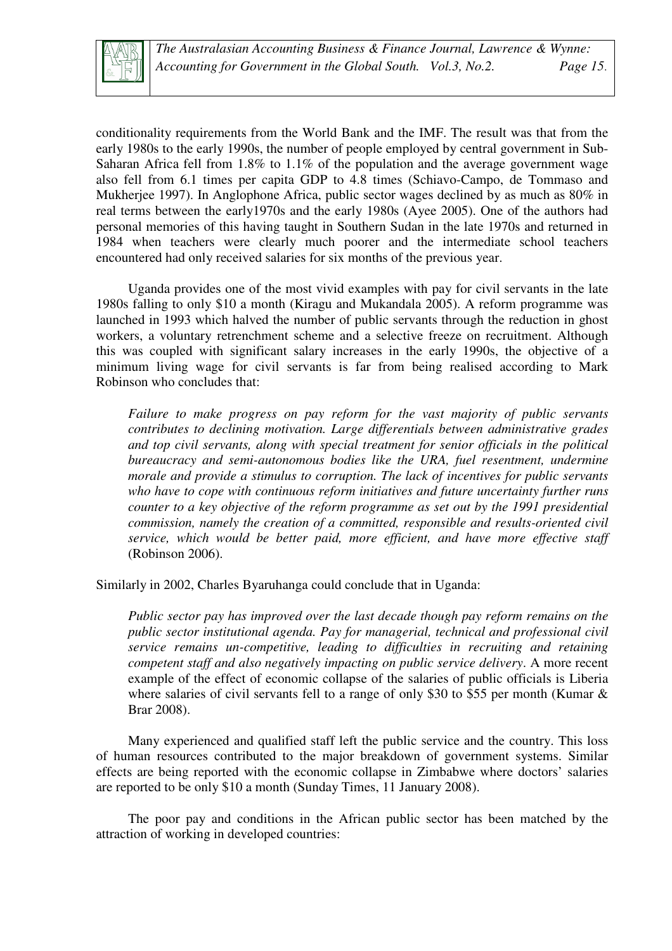conditionality requirements from the World Bank and the IMF. The result was that from the early 1980s to the early 1990s, the number of people employed by central government in Sub-Saharan Africa fell from 1.8% to 1.1% of the population and the average government wage also fell from 6.1 times per capita GDP to 4.8 times (Schiavo-Campo, de Tommaso and Mukherjee 1997). In Anglophone Africa, public sector wages declined by as much as 80% in real terms between the early1970s and the early 1980s (Ayee 2005). One of the authors had personal memories of this having taught in Southern Sudan in the late 1970s and returned in 1984 when teachers were clearly much poorer and the intermediate school teachers encountered had only received salaries for six months of the previous year.

Uganda provides one of the most vivid examples with pay for civil servants in the late 1980s falling to only \$10 a month (Kiragu and Mukandala 2005). A reform programme was launched in 1993 which halved the number of public servants through the reduction in ghost workers, a voluntary retrenchment scheme and a selective freeze on recruitment. Although this was coupled with significant salary increases in the early 1990s, the objective of a minimum living wage for civil servants is far from being realised according to Mark Robinson who concludes that:

*Failure to make progress on pay reform for the vast majority of public servants contributes to declining motivation. Large differentials between administrative grades and top civil servants, along with special treatment for senior officials in the political bureaucracy and semi-autonomous bodies like the URA, fuel resentment, undermine morale and provide a stimulus to corruption. The lack of incentives for public servants who have to cope with continuous reform initiatives and future uncertainty further runs counter to a key objective of the reform programme as set out by the 1991 presidential commission, namely the creation of a committed, responsible and results-oriented civil service, which would be better paid, more efficient, and have more effective staff*  (Robinson 2006).

Similarly in 2002, Charles Byaruhanga could conclude that in Uganda:

*Public sector pay has improved over the last decade though pay reform remains on the public sector institutional agenda. Pay for managerial, technical and professional civil service remains un-competitive, leading to difficulties in recruiting and retaining competent staff and also negatively impacting on public service delivery*. A more recent example of the effect of economic collapse of the salaries of public officials is Liberia where salaries of civil servants fell to a range of only \$30 to \$55 per month (Kumar & Brar 2008).

Many experienced and qualified staff left the public service and the country. This loss of human resources contributed to the major breakdown of government systems. Similar effects are being reported with the economic collapse in Zimbabwe where doctors' salaries are reported to be only \$10 a month (Sunday Times, 11 January 2008).

The poor pay and conditions in the African public sector has been matched by the attraction of working in developed countries: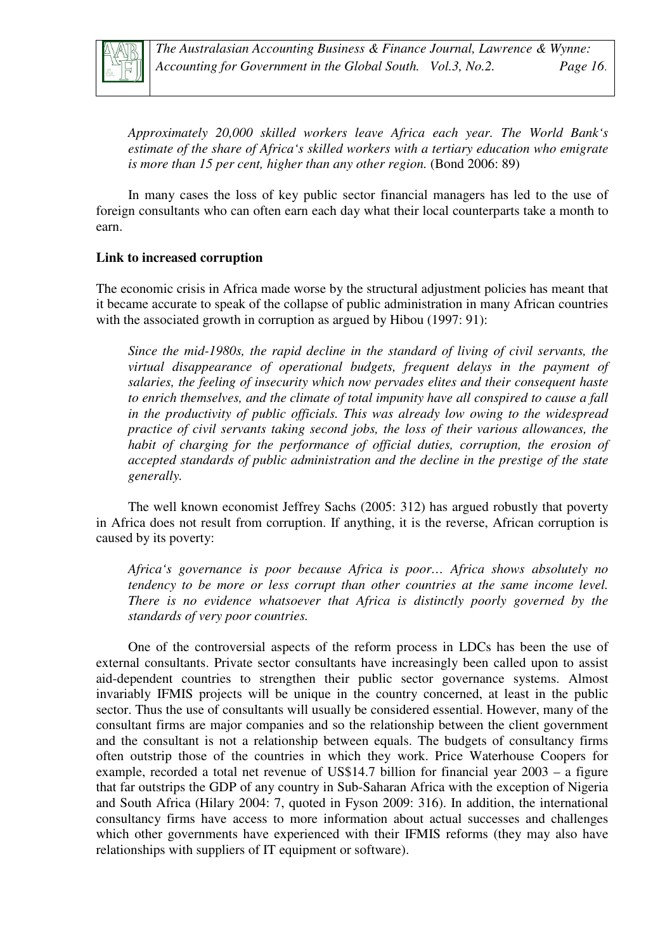

*Approximately 20,000 skilled workers leave Africa each year. The World Bank's estimate of the share of Africa's skilled workers with a tertiary education who emigrate is more than 15 per cent, higher than any other region.* (Bond 2006: 89)

In many cases the loss of key public sector financial managers has led to the use of foreign consultants who can often earn each day what their local counterparts take a month to earn.

#### **Link to increased corruption**

The economic crisis in Africa made worse by the structural adjustment policies has meant that it became accurate to speak of the collapse of public administration in many African countries with the associated growth in corruption as argued by Hibou (1997: 91):

*Since the mid-1980s, the rapid decline in the standard of living of civil servants, the virtual disappearance of operational budgets, frequent delays in the payment of salaries, the feeling of insecurity which now pervades elites and their consequent haste to enrich themselves, and the climate of total impunity have all conspired to cause a fall in the productivity of public officials. This was already low owing to the widespread practice of civil servants taking second jobs, the loss of their various allowances, the habit of charging for the performance of official duties, corruption, the erosion of accepted standards of public administration and the decline in the prestige of the state generally.* 

The well known economist Jeffrey Sachs (2005: 312) has argued robustly that poverty in Africa does not result from corruption. If anything, it is the reverse, African corruption is caused by its poverty:

*Africa's governance is poor because Africa is poor… Africa shows absolutely no tendency to be more or less corrupt than other countries at the same income level. There is no evidence whatsoever that Africa is distinctly poorly governed by the standards of very poor countries.* 

One of the controversial aspects of the reform process in LDCs has been the use of external consultants. Private sector consultants have increasingly been called upon to assist aid-dependent countries to strengthen their public sector governance systems. Almost invariably IFMIS projects will be unique in the country concerned, at least in the public sector. Thus the use of consultants will usually be considered essential. However, many of the consultant firms are major companies and so the relationship between the client government and the consultant is not a relationship between equals. The budgets of consultancy firms often outstrip those of the countries in which they work. Price Waterhouse Coopers for example, recorded a total net revenue of US\$14.7 billion for financial year 2003 – a figure that far outstrips the GDP of any country in Sub-Saharan Africa with the exception of Nigeria and South Africa (Hilary 2004: 7, quoted in Fyson 2009: 316). In addition, the international consultancy firms have access to more information about actual successes and challenges which other governments have experienced with their IFMIS reforms (they may also have relationships with suppliers of IT equipment or software).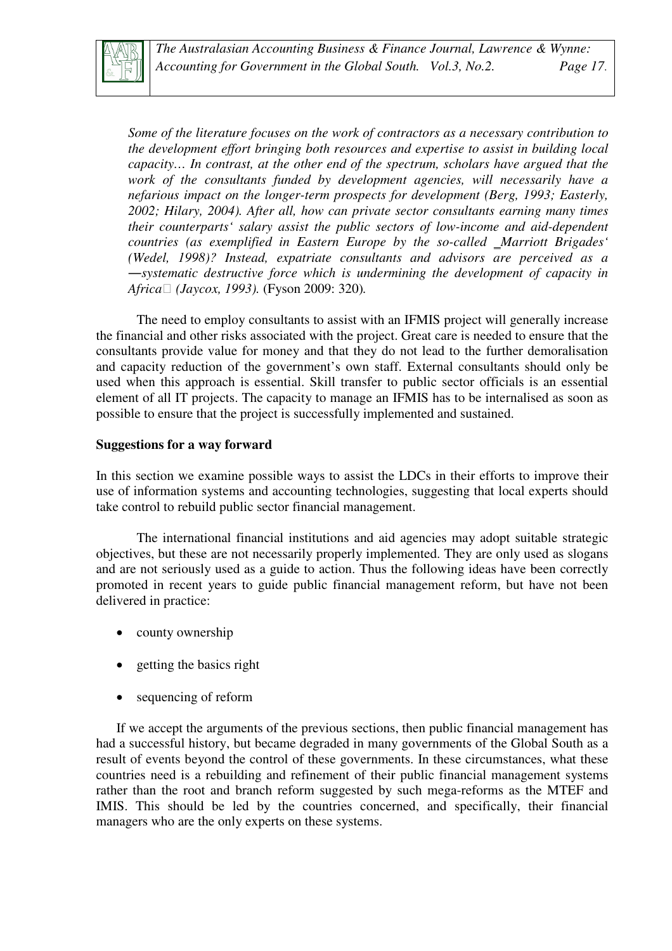*Some of the literature focuses on the work of contractors as a necessary contribution to the development effort bringing both resources and expertise to assist in building local capacity… In contrast, at the other end of the spectrum, scholars have argued that the work of the consultants funded by development agencies, will necessarily have a nefarious impact on the longer-term prospects for development (Berg, 1993; Easterly, 2002; Hilary, 2004). After all, how can private sector consultants earning many times their counterparts' salary assist the public sectors of low-income and aid-dependent countries (as exemplified in Eastern Europe by the so-called* ‗*Marriott Brigades' (Wedel, 1998)? Instead, expatriate consultants and advisors are perceived as a*  ―*systematic destructive force which is undermining the development of capacity in Africa*‖ *(Jaycox, 1993).* (Fyson 2009: 320)*.* 

The need to employ consultants to assist with an IFMIS project will generally increase the financial and other risks associated with the project. Great care is needed to ensure that the consultants provide value for money and that they do not lead to the further demoralisation and capacity reduction of the government's own staff. External consultants should only be used when this approach is essential. Skill transfer to public sector officials is an essential element of all IT projects. The capacity to manage an IFMIS has to be internalised as soon as possible to ensure that the project is successfully implemented and sustained.

## **Suggestions for a way forward**

In this section we examine possible ways to assist the LDCs in their efforts to improve their use of information systems and accounting technologies, suggesting that local experts should take control to rebuild public sector financial management.

The international financial institutions and aid agencies may adopt suitable strategic objectives, but these are not necessarily properly implemented. They are only used as slogans and are not seriously used as a guide to action. Thus the following ideas have been correctly promoted in recent years to guide public financial management reform, but have not been delivered in practice:

- county ownership
- getting the basics right
- sequencing of reform

If we accept the arguments of the previous sections, then public financial management has had a successful history, but became degraded in many governments of the Global South as a result of events beyond the control of these governments. In these circumstances, what these countries need is a rebuilding and refinement of their public financial management systems rather than the root and branch reform suggested by such mega-reforms as the MTEF and IMIS. This should be led by the countries concerned, and specifically, their financial managers who are the only experts on these systems.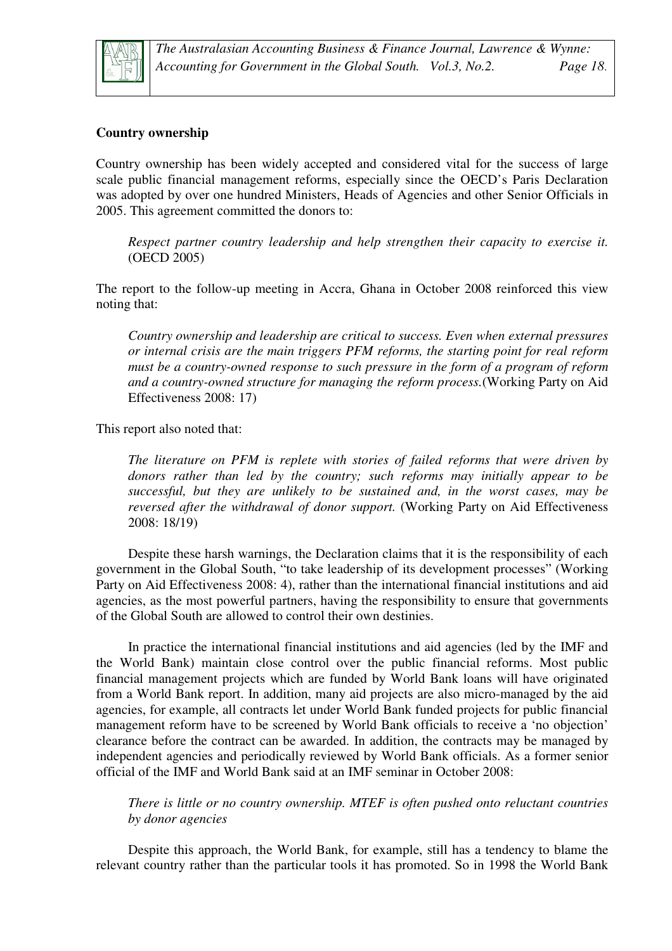

## **Country ownership**

Country ownership has been widely accepted and considered vital for the success of large scale public financial management reforms, especially since the OECD's Paris Declaration was adopted by over one hundred Ministers, Heads of Agencies and other Senior Officials in 2005. This agreement committed the donors to:

*Respect partner country leadership and help strengthen their capacity to exercise it.*  (OECD 2005)

The report to the follow-up meeting in Accra, Ghana in October 2008 reinforced this view noting that:

*Country ownership and leadership are critical to success. Even when external pressures or internal crisis are the main triggers PFM reforms, the starting point for real reform must be a country-owned response to such pressure in the form of a program of reform and a country-owned structure for managing the reform process.*(Working Party on Aid Effectiveness 2008: 17)

This report also noted that:

*The literature on PFM is replete with stories of failed reforms that were driven by donors rather than led by the country; such reforms may initially appear to be successful, but they are unlikely to be sustained and, in the worst cases, may be reversed after the withdrawal of donor support.* (Working Party on Aid Effectiveness 2008: 18/19)

Despite these harsh warnings, the Declaration claims that it is the responsibility of each government in the Global South, "to take leadership of its development processes" (Working Party on Aid Effectiveness 2008: 4), rather than the international financial institutions and aid agencies, as the most powerful partners, having the responsibility to ensure that governments of the Global South are allowed to control their own destinies.

In practice the international financial institutions and aid agencies (led by the IMF and the World Bank) maintain close control over the public financial reforms. Most public financial management projects which are funded by World Bank loans will have originated from a World Bank report. In addition, many aid projects are also micro-managed by the aid agencies, for example, all contracts let under World Bank funded projects for public financial management reform have to be screened by World Bank officials to receive a 'no objection' clearance before the contract can be awarded. In addition, the contracts may be managed by independent agencies and periodically reviewed by World Bank officials. As a former senior official of the IMF and World Bank said at an IMF seminar in October 2008:

*There is little or no country ownership. MTEF is often pushed onto reluctant countries by donor agencies* 

Despite this approach, the World Bank, for example, still has a tendency to blame the relevant country rather than the particular tools it has promoted. So in 1998 the World Bank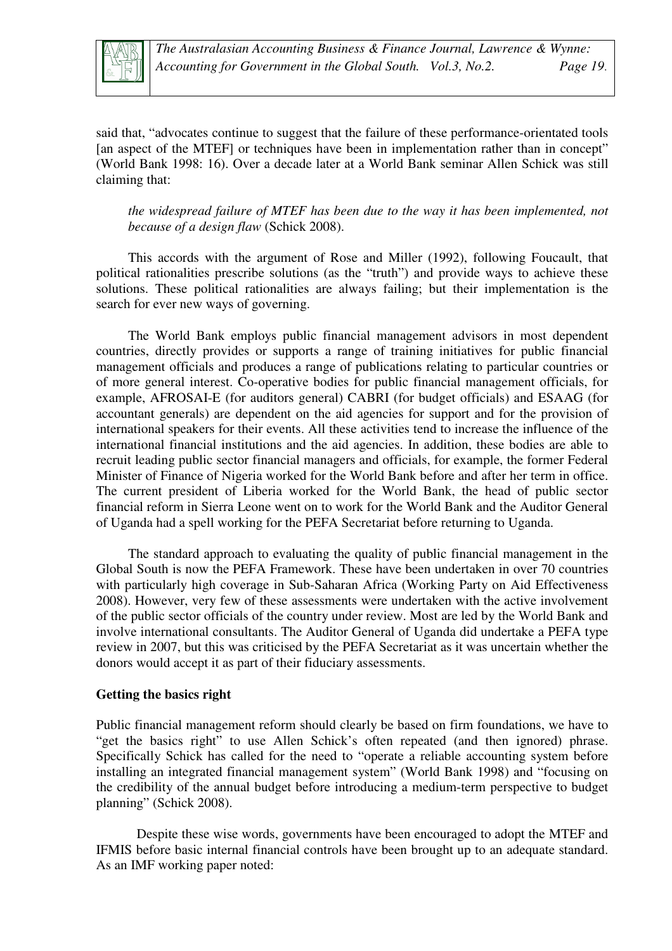

said that, "advocates continue to suggest that the failure of these performance-orientated tools [an aspect of the MTEF] or techniques have been in implementation rather than in concept" (World Bank 1998: 16). Over a decade later at a World Bank seminar Allen Schick was still claiming that:

*the widespread failure of MTEF has been due to the way it has been implemented, not because of a design flaw* (Schick 2008).

This accords with the argument of Rose and Miller (1992), following Foucault, that political rationalities prescribe solutions (as the "truth") and provide ways to achieve these solutions. These political rationalities are always failing; but their implementation is the search for ever new ways of governing.

The World Bank employs public financial management advisors in most dependent countries, directly provides or supports a range of training initiatives for public financial management officials and produces a range of publications relating to particular countries or of more general interest. Co-operative bodies for public financial management officials, for example, AFROSAI-E (for auditors general) CABRI (for budget officials) and ESAAG (for accountant generals) are dependent on the aid agencies for support and for the provision of international speakers for their events. All these activities tend to increase the influence of the international financial institutions and the aid agencies. In addition, these bodies are able to recruit leading public sector financial managers and officials, for example, the former Federal Minister of Finance of Nigeria worked for the World Bank before and after her term in office. The current president of Liberia worked for the World Bank, the head of public sector financial reform in Sierra Leone went on to work for the World Bank and the Auditor General of Uganda had a spell working for the PEFA Secretariat before returning to Uganda.

The standard approach to evaluating the quality of public financial management in the Global South is now the PEFA Framework. These have been undertaken in over 70 countries with particularly high coverage in Sub-Saharan Africa (Working Party on Aid Effectiveness 2008). However, very few of these assessments were undertaken with the active involvement of the public sector officials of the country under review. Most are led by the World Bank and involve international consultants. The Auditor General of Uganda did undertake a PEFA type review in 2007, but this was criticised by the PEFA Secretariat as it was uncertain whether the donors would accept it as part of their fiduciary assessments.

## **Getting the basics right**

Public financial management reform should clearly be based on firm foundations, we have to "get the basics right" to use Allen Schick's often repeated (and then ignored) phrase. Specifically Schick has called for the need to "operate a reliable accounting system before installing an integrated financial management system" (World Bank 1998) and "focusing on the credibility of the annual budget before introducing a medium-term perspective to budget planning" (Schick 2008).

Despite these wise words, governments have been encouraged to adopt the MTEF and IFMIS before basic internal financial controls have been brought up to an adequate standard. As an IMF working paper noted: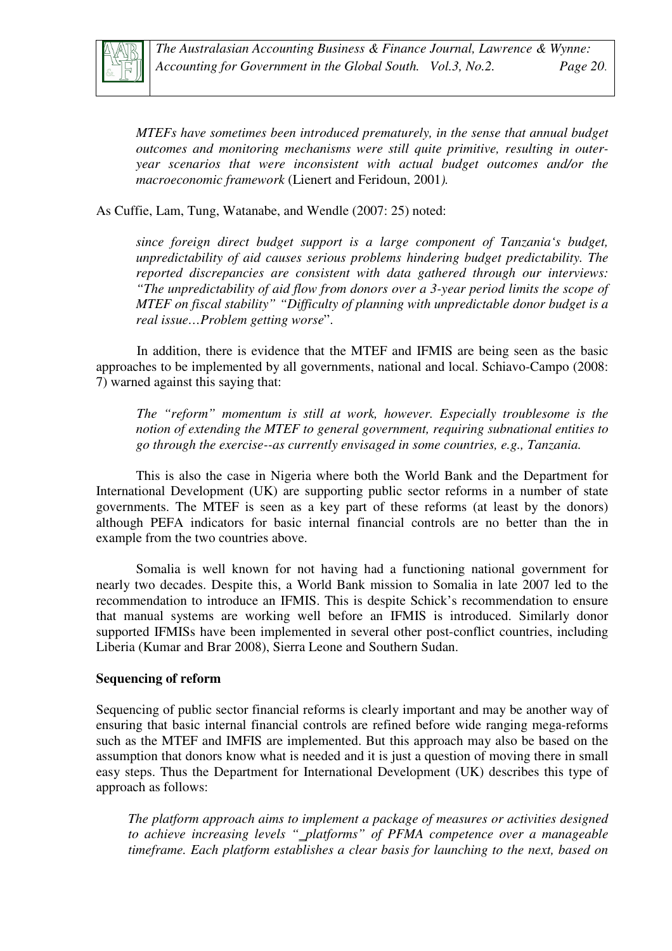

*MTEFs have sometimes been introduced prematurely, in the sense that annual budget outcomes and monitoring mechanisms were still quite primitive, resulting in outeryear scenarios that were inconsistent with actual budget outcomes and/or the macroeconomic framework* (Lienert and Feridoun, 2001*).* 

As Cuffie, Lam, Tung, Watanabe, and Wendle (2007: 25) noted:

*since foreign direct budget support is a large component of Tanzania's budget, unpredictability of aid causes serious problems hindering budget predictability. The reported discrepancies are consistent with data gathered through our interviews: "The unpredictability of aid flow from donors over a 3-year period limits the scope of MTEF on fiscal stability" "Difficulty of planning with unpredictable donor budget is a real issue…Problem getting worse*".

In addition, there is evidence that the MTEF and IFMIS are being seen as the basic approaches to be implemented by all governments, national and local. Schiavo-Campo (2008: 7) warned against this saying that:

*The "reform" momentum is still at work, however. Especially troublesome is the notion of extending the MTEF to general government, requiring subnational entities to go through the exercise--as currently envisaged in some countries, e.g., Tanzania.* 

This is also the case in Nigeria where both the World Bank and the Department for International Development (UK) are supporting public sector reforms in a number of state governments. The MTEF is seen as a key part of these reforms (at least by the donors) although PEFA indicators for basic internal financial controls are no better than the in example from the two countries above.

Somalia is well known for not having had a functioning national government for nearly two decades. Despite this, a World Bank mission to Somalia in late 2007 led to the recommendation to introduce an IFMIS. This is despite Schick's recommendation to ensure that manual systems are working well before an IFMIS is introduced. Similarly donor supported IFMISs have been implemented in several other post-conflict countries, including Liberia (Kumar and Brar 2008), Sierra Leone and Southern Sudan.

#### **Sequencing of reform**

Sequencing of public sector financial reforms is clearly important and may be another way of ensuring that basic internal financial controls are refined before wide ranging mega-reforms such as the MTEF and IMFIS are implemented. But this approach may also be based on the assumption that donors know what is needed and it is just a question of moving there in small easy steps. Thus the Department for International Development (UK) describes this type of approach as follows:

*The platform approach aims to implement a package of measures or activities designed to achieve increasing levels "*‗*platforms" of PFMA competence over a manageable timeframe. Each platform establishes a clear basis for launching to the next, based on*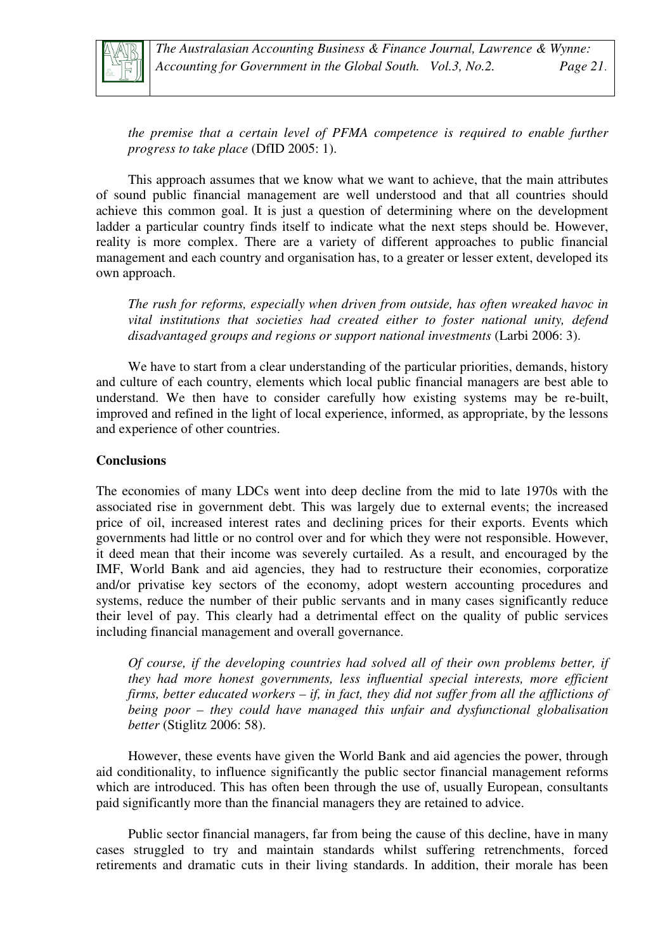

*The Australasian Accounting Business & Finance Journal, Lawrence & Wynne: Accounting for Government in the Global South. Vol.3, No.2. Page 21*.

*the premise that a certain level of PFMA competence is required to enable further progress to take place* (DfID 2005: 1).

This approach assumes that we know what we want to achieve, that the main attributes of sound public financial management are well understood and that all countries should achieve this common goal. It is just a question of determining where on the development ladder a particular country finds itself to indicate what the next steps should be. However, reality is more complex. There are a variety of different approaches to public financial management and each country and organisation has, to a greater or lesser extent, developed its own approach.

*The rush for reforms, especially when driven from outside, has often wreaked havoc in vital institutions that societies had created either to foster national unity, defend disadvantaged groups and regions or support national investments* (Larbi 2006: 3).

We have to start from a clear understanding of the particular priorities, demands, history and culture of each country, elements which local public financial managers are best able to understand. We then have to consider carefully how existing systems may be re-built, improved and refined in the light of local experience, informed, as appropriate, by the lessons and experience of other countries.

#### **Conclusions**

The economies of many LDCs went into deep decline from the mid to late 1970s with the associated rise in government debt. This was largely due to external events; the increased price of oil, increased interest rates and declining prices for their exports. Events which governments had little or no control over and for which they were not responsible. However, it deed mean that their income was severely curtailed. As a result, and encouraged by the IMF, World Bank and aid agencies, they had to restructure their economies, corporatize and/or privatise key sectors of the economy, adopt western accounting procedures and systems, reduce the number of their public servants and in many cases significantly reduce their level of pay. This clearly had a detrimental effect on the quality of public services including financial management and overall governance.

*Of course, if the developing countries had solved all of their own problems better, if they had more honest governments, less influential special interests, more efficient firms, better educated workers – if, in fact, they did not suffer from all the afflictions of being poor – they could have managed this unfair and dysfunctional globalisation better* (Stiglitz 2006: 58).

However, these events have given the World Bank and aid agencies the power, through aid conditionality, to influence significantly the public sector financial management reforms which are introduced. This has often been through the use of, usually European, consultants paid significantly more than the financial managers they are retained to advice.

Public sector financial managers, far from being the cause of this decline, have in many cases struggled to try and maintain standards whilst suffering retrenchments, forced retirements and dramatic cuts in their living standards. In addition, their morale has been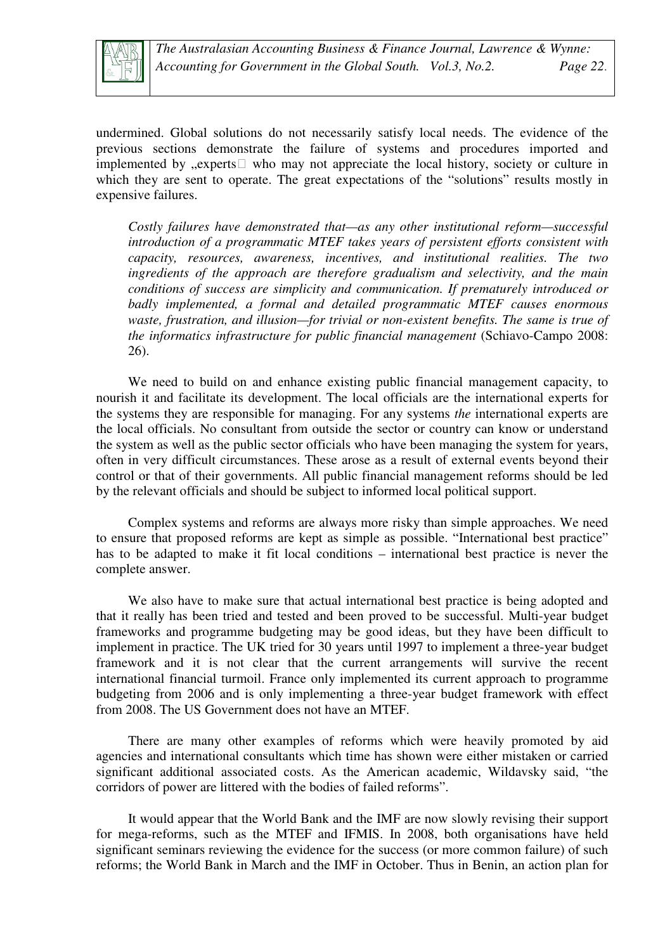

undermined. Global solutions do not necessarily satisfy local needs. The evidence of the previous sections demonstrate the failure of systems and procedures imported and implemented by "experts who may not appreciate the local history, society or culture in which they are sent to operate. The great expectations of the "solutions" results mostly in expensive failures.

*Costly failures have demonstrated that—as any other institutional reform—successful introduction of a programmatic MTEF takes years of persistent efforts consistent with capacity, resources, awareness, incentives, and institutional realities. The two ingredients of the approach are therefore gradualism and selectivity, and the main conditions of success are simplicity and communication. If prematurely introduced or badly implemented, a formal and detailed programmatic MTEF causes enormous waste, frustration, and illusion—for trivial or non-existent benefits. The same is true of the informatics infrastructure for public financial management* (Schiavo-Campo 2008: 26).

We need to build on and enhance existing public financial management capacity, to nourish it and facilitate its development. The local officials are the international experts for the systems they are responsible for managing. For any systems *the* international experts are the local officials. No consultant from outside the sector or country can know or understand the system as well as the public sector officials who have been managing the system for years, often in very difficult circumstances. These arose as a result of external events beyond their control or that of their governments. All public financial management reforms should be led by the relevant officials and should be subject to informed local political support.

Complex systems and reforms are always more risky than simple approaches. We need to ensure that proposed reforms are kept as simple as possible. "International best practice" has to be adapted to make it fit local conditions – international best practice is never the complete answer.

We also have to make sure that actual international best practice is being adopted and that it really has been tried and tested and been proved to be successful. Multi-year budget frameworks and programme budgeting may be good ideas, but they have been difficult to implement in practice. The UK tried for 30 years until 1997 to implement a three-year budget framework and it is not clear that the current arrangements will survive the recent international financial turmoil. France only implemented its current approach to programme budgeting from 2006 and is only implementing a three-year budget framework with effect from 2008. The US Government does not have an MTEF.

There are many other examples of reforms which were heavily promoted by aid agencies and international consultants which time has shown were either mistaken or carried significant additional associated costs. As the American academic, Wildavsky said, "the corridors of power are littered with the bodies of failed reforms".

It would appear that the World Bank and the IMF are now slowly revising their support for mega-reforms, such as the MTEF and IFMIS. In 2008, both organisations have held significant seminars reviewing the evidence for the success (or more common failure) of such reforms; the World Bank in March and the IMF in October. Thus in Benin, an action plan for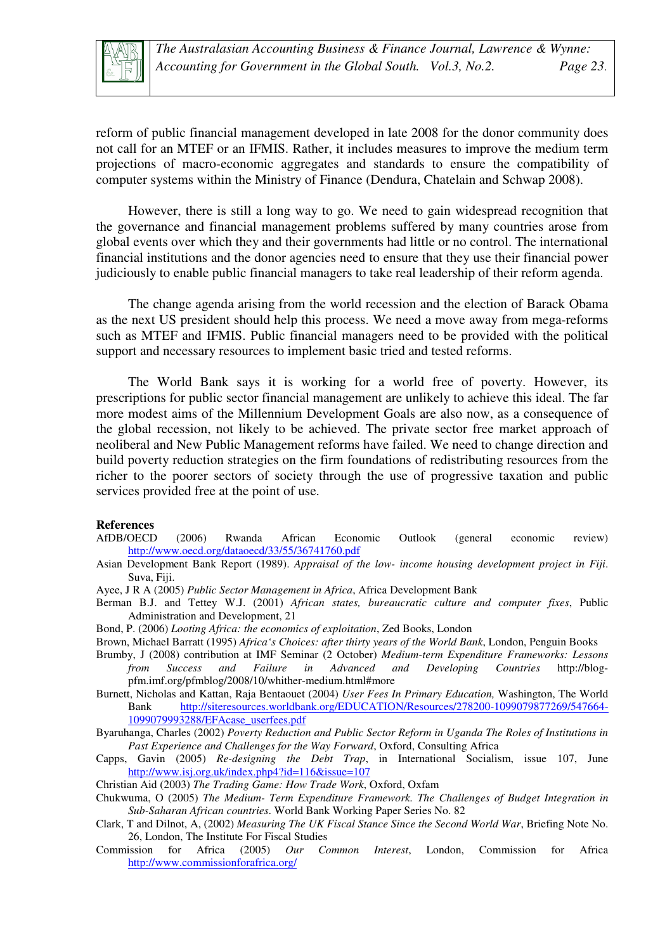

reform of public financial management developed in late 2008 for the donor community does not call for an MTEF or an IFMIS. Rather, it includes measures to improve the medium term projections of macro-economic aggregates and standards to ensure the compatibility of computer systems within the Ministry of Finance (Dendura, Chatelain and Schwap 2008).

However, there is still a long way to go. We need to gain widespread recognition that the governance and financial management problems suffered by many countries arose from global events over which they and their governments had little or no control. The international financial institutions and the donor agencies need to ensure that they use their financial power judiciously to enable public financial managers to take real leadership of their reform agenda.

The change agenda arising from the world recession and the election of Barack Obama as the next US president should help this process. We need a move away from mega-reforms such as MTEF and IFMIS. Public financial managers need to be provided with the political support and necessary resources to implement basic tried and tested reforms.

The World Bank says it is working for a world free of poverty. However, its prescriptions for public sector financial management are unlikely to achieve this ideal. The far more modest aims of the Millennium Development Goals are also now, as a consequence of the global recession, not likely to be achieved. The private sector free market approach of neoliberal and New Public Management reforms have failed. We need to change direction and build poverty reduction strategies on the firm foundations of redistributing resources from the richer to the poorer sectors of society through the use of progressive taxation and public services provided free at the point of use.

#### **References**

- AfDB/OECD (2006) Rwanda African Economic Outlook (general economic review) http://www.oecd.org/dataoecd/33/55/36741760.pdf
- Asian Development Bank Report (1989). *Appraisal of the low- income housing development project in Fiji*. Suva, Fiji.
- Ayee, J R A (2005) *Public Sector Management in Africa*, Africa Development Bank
- Berman B.J. and Tettey W.J. (2001) *African states, bureaucratic culture and computer fixes*, Public Administration and Development, 21
- Bond, P. (2006) *Looting Africa: the economics of exploitation*, Zed Books, London
- Brown, Michael Barratt (1995) *Africa's Choices: after thirty years of the World Bank*, London, Penguin Books
- Brumby, J (2008) contribution at IMF Seminar (2 October) *Medium-term Expenditure Frameworks: Lessons from Success and Failure in Advanced and Developing Countries* http://blogpfm.imf.org/pfmblog/2008/10/whither-medium.html#more
- Burnett, Nicholas and Kattan, Raja Bentaouet (2004) *User Fees In Primary Education,* Washington, The World Bank http://siteresources.worldbank.org/EDUCATION/Resources/278200-1099079877269/547664- 1099079993288/EFAcase\_userfees.pdf
- Byaruhanga, Charles (2002) *Poverty Reduction and Public Sector Reform in Uganda The Roles of Institutions in Past Experience and Challenges for the Way Forward*, Oxford, Consulting Africa
- Capps, Gavin (2005) *Re-designing the Debt Trap*, in International Socialism, issue 107, June http://www.isj.org.uk/index.php4?id=116&issue=107
- Christian Aid (2003) *The Trading Game: How Trade Work*, Oxford, Oxfam
- Chukwuma, O (2005) *The Medium- Term Expenditure Framework. The Challenges of Budget Integration in Sub-Saharan African countries*. World Bank Working Paper Series No. 82
- Clark, T and Dilnot, A, (2002) *Measuring The UK Fiscal Stance Since the Second World War*, Briefing Note No. 26, London, The Institute For Fiscal Studies
- Commission for Africa (2005) *Our Common Interest*, London, Commission for Africa http://www.commissionforafrica.org/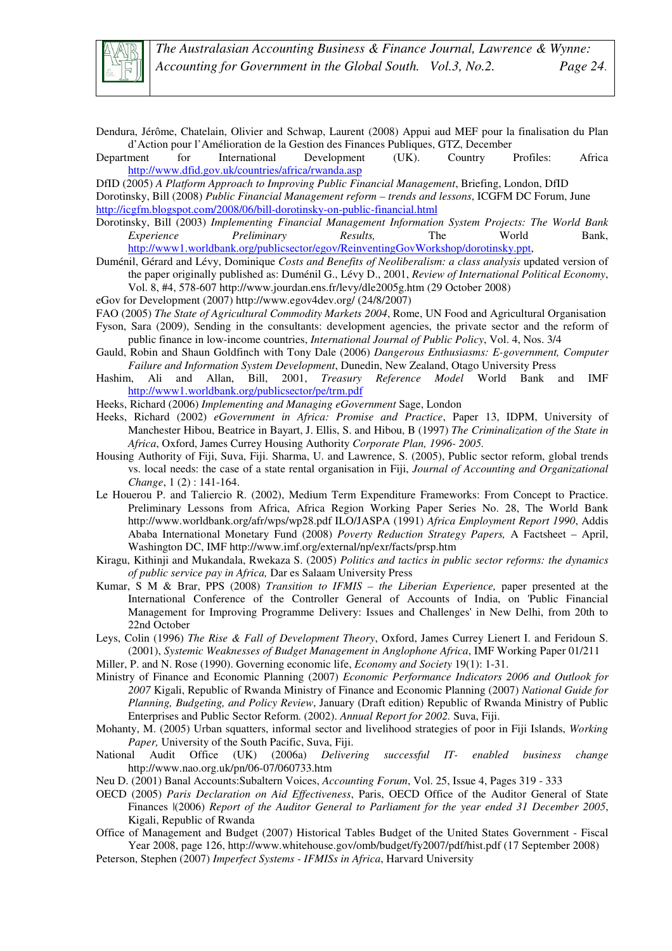- Dendura, Jérôme, Chatelain, Olivier and Schwap, Laurent (2008) Appui aud MEF pour la finalisation du Plan d'Action pour l'Amélioration de la Gestion des Finances Publiques, GTZ, December
- Department for International Development (UK). Country Profiles: Africa http://www.dfid.gov.uk/countries/africa/rwanda.asp

DfID (2005) *A Platform Approach to Improving Public Financial Management*, Briefing, London, DfID Dorotinsky, Bill (2008) *Public Financial Management reform – trends and lessons*, ICGFM DC Forum, June http://icgfm.blogspot.com/2008/06/bill-dorotinsky-on-public-financial.html

- Dorotinsky, Bill (2003) *Implementing Financial Management Information System Projects: The World Bank Experience Preliminary Results,* The World Bank, http://www1.worldbank.org/publicsector/egov/ReinventingGovWorkshop/dorotinsky.ppt,
- Duménil, Gérard and Lévy, Dominique *Costs and Benefits of Neoliberalism: a class analysis* updated version of the paper originally published as: Duménil G., Lévy D., 2001, *Review of International Political Economy*, Vol. 8, #4, 578-607 http://www.jourdan.ens.fr/levy/dle2005g.htm (29 October 2008)

eGov for Development (2007) http://www.egov4dev.org/ (24/8/2007)

- FAO (2005) *The State of Agricultural Commodity Markets 2004*, Rome, UN Food and Agricultural Organisation
- Fyson, Sara (2009), Sending in the consultants: development agencies, the private sector and the reform of public finance in low-income countries, *International Journal of Public Policy*, Vol. 4, Nos. 3/4
- Gauld, Robin and Shaun Goldfinch with Tony Dale (2006) *Dangerous Enthusiasms: E-government, Computer Failure and Information System Development*, Dunedin, New Zealand, Otago University Press
- Hashim, Ali and Allan, Bill, 2001, *Treasury Reference Model* World Bank and IMF http://www1.worldbank.org/publicsector/pe/trm.pdf
- Heeks, Richard (2006) *Implementing and Managing eGovernment* Sage, London
- Heeks, Richard (2002) *eGovernment in Africa: Promise and Practice*, Paper 13, IDPM, University of Manchester Hibou, Beatrice in Bayart, J. Ellis, S. and Hibou, B (1997) *The Criminalization of the State in Africa*, Oxford, James Currey Housing Authority *Corporate Plan, 1996- 2005.*
- Housing Authority of Fiji, Suva, Fiji. Sharma, U. and Lawrence, S. (2005), Public sector reform, global trends vs. local needs: the case of a state rental organisation in Fiji, *Journal of Accounting and Organizational Change*, 1 (2) : 141-164.
- Le Houerou P. and Taliercio R. (2002), Medium Term Expenditure Frameworks: From Concept to Practice. Preliminary Lessons from Africa, Africa Region Working Paper Series No. 28, The World Bank http://www.worldbank.org/afr/wps/wp28.pdf ILO/JASPA (1991) *Africa Employment Report 1990*, Addis Ababa International Monetary Fund (2008) *Poverty Reduction Strategy Papers,* A Factsheet – April, Washington DC, IMF http://www.imf.org/external/np/exr/facts/prsp.htm
- Kiragu, Kithinji and Mukandala, Rwekaza S. (2005) *Politics and tactics in public sector reforms: the dynamics of public service pay in Africa,* Dar es Salaam University Press
- Kumar, S M & Brar, PPS (2008) *Transition to IFMIS the Liberian Experience,* paper presented at the International Conference of the Controller General of Accounts of India, on 'Public Financial Management for Improving Programme Delivery: Issues and Challenges' in New Delhi, from 20th to 22nd October
- Leys, Colin (1996) *The Rise & Fall of Development Theory*, Oxford, James Currey Lienert I. and Feridoun S. (2001), *Systemic Weaknesses of Budget Management in Anglophone Africa*, IMF Working Paper 01/211
- Miller, P. and N. Rose (1990). Governing economic life, *Economy and Society* 19(1): 1-31.
- Ministry of Finance and Economic Planning (2007) *Economic Performance Indicators 2006 and Outlook for 2007* Kigali, Republic of Rwanda Ministry of Finance and Economic Planning (2007) *National Guide for Planning, Budgeting, and Policy Review*, January (Draft edition) Republic of Rwanda Ministry of Public Enterprises and Public Sector Reform. (2002). *Annual Report for 2002.* Suva, Fiji.
- Mohanty, M. (2005) Urban squatters, informal sector and livelihood strategies of poor in Fiji Islands, *Working Paper,* University of the South Pacific, Suva, Fiji.
- National Audit Office (UK) (2006a) *Delivering successful IT- enabled business change*  http://www.nao.org.uk/pn/06-07/060733.htm
- Neu D. (2001) Banal Accounts:Subaltern Voices, *Accounting Forum*, Vol. 25, Issue 4, Pages 319 333
- OECD (2005) *Paris Declaration on Aid Effectiveness*, Paris, OECD Office of the Auditor General of State Finances |(2006) *Report of the Auditor General to Parliament for the year ended 31 December 2005*, Kigali, Republic of Rwanda
- Office of Management and Budget (2007) Historical Tables Budget of the United States Government Fiscal Year 2008, page 126, http://www.whitehouse.gov/omb/budget/fy2007/pdf/hist.pdf (17 September 2008)
- Peterson, Stephen (2007) *Imperfect Systems IFMISs in Africa*, Harvard University